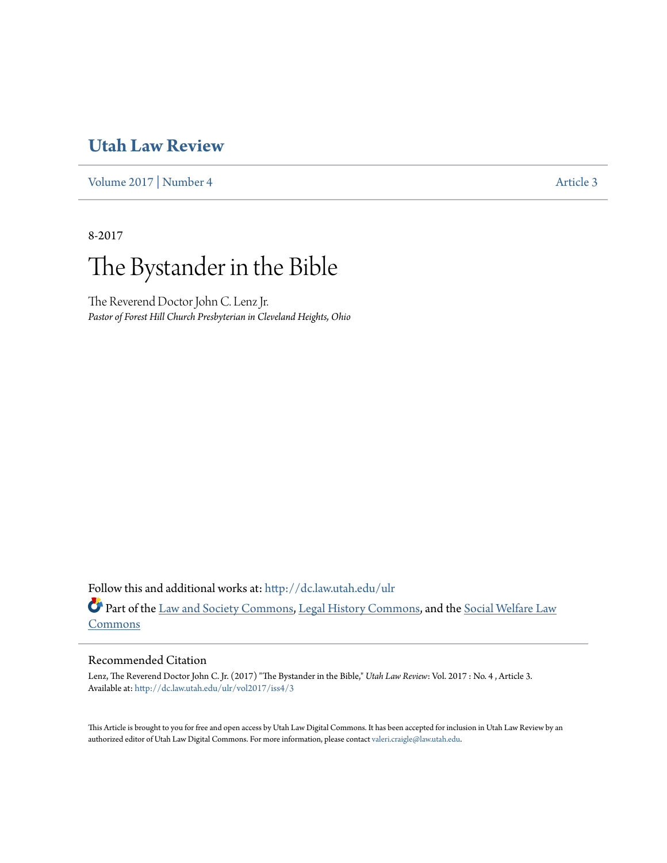# **[Utah Law Review](http://dc.law.utah.edu/ulr?utm_source=dc.law.utah.edu%2Fulr%2Fvol2017%2Fiss4%2F3&utm_medium=PDF&utm_campaign=PDFCoverPages)**

[Volume 2017](http://dc.law.utah.edu/ulr/vol2017?utm_source=dc.law.utah.edu%2Fulr%2Fvol2017%2Fiss4%2F3&utm_medium=PDF&utm_campaign=PDFCoverPages) | [Number 4](http://dc.law.utah.edu/ulr/vol2017/iss4?utm_source=dc.law.utah.edu%2Fulr%2Fvol2017%2Fiss4%2F3&utm_medium=PDF&utm_campaign=PDFCoverPages) [Article 3](http://dc.law.utah.edu/ulr/vol2017/iss4/3?utm_source=dc.law.utah.edu%2Fulr%2Fvol2017%2Fiss4%2F3&utm_medium=PDF&utm_campaign=PDFCoverPages)

8-2017

# The Bystander in the Bible

The Reverend Doctor John C. Lenz Jr. *Pastor of Forest Hill Church Presbyterian in Cleveland Heights, Ohio*

Follow this and additional works at: [http://dc.law.utah.edu/ulr](http://dc.law.utah.edu/ulr?utm_source=dc.law.utah.edu%2Fulr%2Fvol2017%2Fiss4%2F3&utm_medium=PDF&utm_campaign=PDFCoverPages) Part of the [Law and Society Commons](http://network.bepress.com/hgg/discipline/853?utm_source=dc.law.utah.edu%2Fulr%2Fvol2017%2Fiss4%2F3&utm_medium=PDF&utm_campaign=PDFCoverPages), [Legal History Commons,](http://network.bepress.com/hgg/discipline/904?utm_source=dc.law.utah.edu%2Fulr%2Fvol2017%2Fiss4%2F3&utm_medium=PDF&utm_campaign=PDFCoverPages) and the [Social Welfare Law](http://network.bepress.com/hgg/discipline/878?utm_source=dc.law.utah.edu%2Fulr%2Fvol2017%2Fiss4%2F3&utm_medium=PDF&utm_campaign=PDFCoverPages) [Commons](http://network.bepress.com/hgg/discipline/878?utm_source=dc.law.utah.edu%2Fulr%2Fvol2017%2Fiss4%2F3&utm_medium=PDF&utm_campaign=PDFCoverPages)

# Recommended Citation

Lenz, The Reverend Doctor John C. Jr. (2017) "The Bystander in the Bible," *Utah Law Review*: Vol. 2017 : No. 4 , Article 3. Available at: [http://dc.law.utah.edu/ulr/vol2017/iss4/3](http://dc.law.utah.edu/ulr/vol2017/iss4/3?utm_source=dc.law.utah.edu%2Fulr%2Fvol2017%2Fiss4%2F3&utm_medium=PDF&utm_campaign=PDFCoverPages)

This Article is brought to you for free and open access by Utah Law Digital Commons. It has been accepted for inclusion in Utah Law Review by an authorized editor of Utah Law Digital Commons. For more information, please contact [valeri.craigle@law.utah.edu.](mailto:valeri.craigle@law.utah.edu)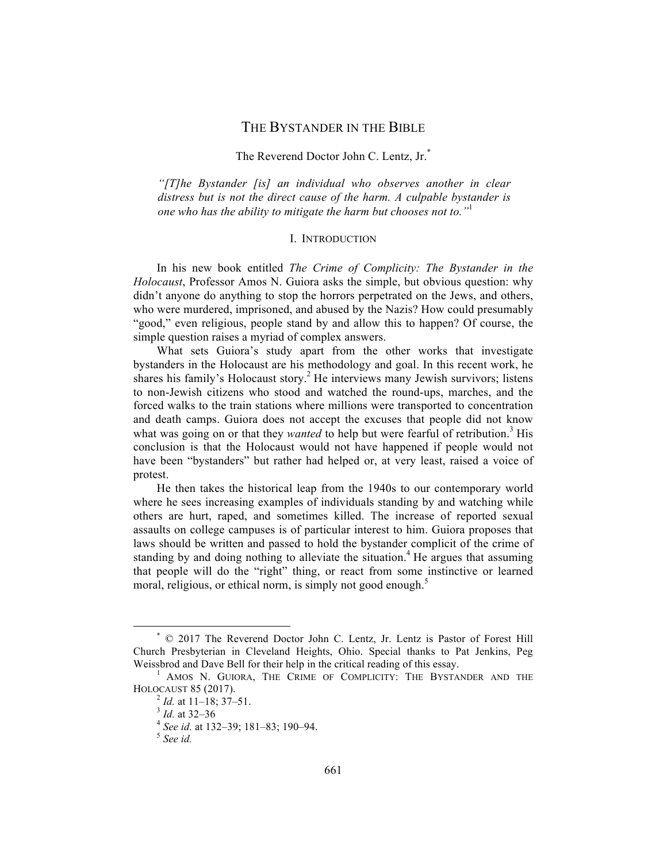# THE BYSTANDER IN THE BIBLE

# The Reverend Doctor John C. Lentz, Jr.<sup>\*</sup>

*"[T]he Bystander [is] an individual who observes another in clear distress but is not the direct cause of the harm. A culpable bystander is one who has the ability to mitigate the harm but chooses not to."*<sup>1</sup>

#### I. INTRODUCTION

In his new book entitled *The Crime of Complicity: The Bystander in the Holocaust*, Professor Amos N. Guiora asks the simple, but obvious question: why didn't anyone do anything to stop the horrors perpetrated on the Jews, and others, who were murdered, imprisoned, and abused by the Nazis? How could presumably "good," even religious, people stand by and allow this to happen? Of course, the simple question raises a myriad of complex answers.

What sets Guiora's study apart from the other works that investigate bystanders in the Holocaust are his methodology and goal. In this recent work, he shares his family's Holocaust story.<sup>2</sup> He interviews many Jewish survivors; listens to non-Jewish citizens who stood and watched the round-ups, marches, and the forced walks to the train stations where millions were transported to concentration and death camps. Guiora does not accept the excuses that people did not know what was going on or that they *wanted* to help but were fearful of retribution.<sup>3</sup> His conclusion is that the Holocaust would not have happened if people would not have been "bystanders" but rather had helped or, at very least, raised a voice of protest.

He then takes the historical leap from the 1940s to our contemporary world where he sees increasing examples of individuals standing by and watching while others are hurt, raped, and sometimes killed. The increase of reported sexual assaults on college campuses is of particular interest to him. Guiora proposes that laws should be written and passed to hold the bystander complicit of the crime of standing by and doing nothing to alleviate the situation.<sup>4</sup> He argues that assuming that people will do the "right" thing, or react from some instinctive or learned moral, religious, or ethical norm, is simply not good enough.<sup>5</sup>

 \* © 2017 The Reverend Doctor John C. Lentz, Jr. Lentz is Pastor of Forest Hill Church Presbyterian in Cleveland Heights, Ohio. Special thanks to Pat Jenkins, Peg Weissbrod and Dave Bell for their help in the critical reading of this essay.

<sup>&</sup>lt;sup>1</sup> AMOS N. GUIORA, THE CRIME OF COMPLICITY: THE BYSTANDER AND THE HOLOCAUST 85 (2017). <sup>2</sup> *Id.* at 11–18; 37–51. <sup>3</sup> *Id.* at 32–36 <sup>4</sup> *See id.* at 132–39; 181–83; 190–94. <sup>5</sup> *See id.*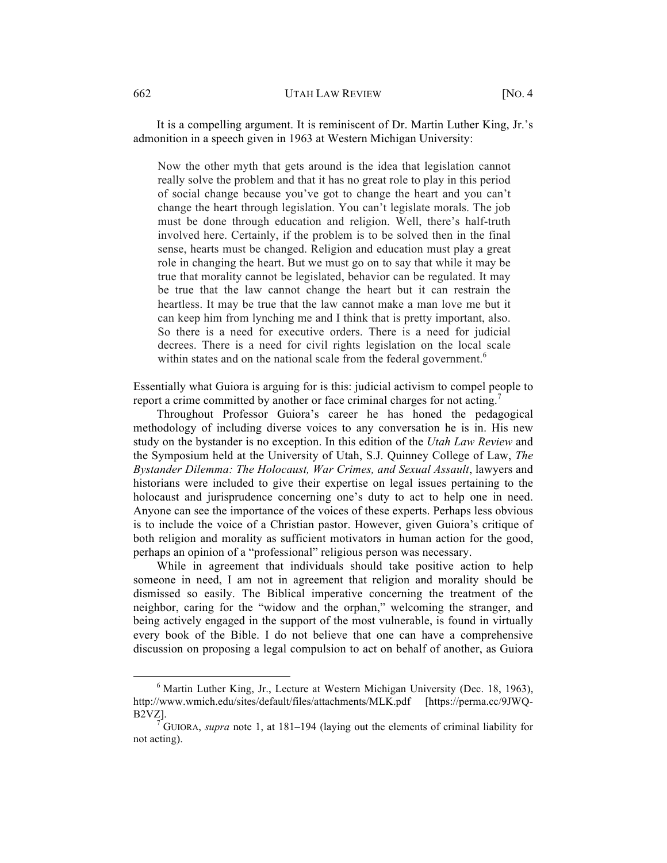It is a compelling argument. It is reminiscent of Dr. Martin Luther King, Jr.'s admonition in a speech given in 1963 at Western Michigan University:

Now the other myth that gets around is the idea that legislation cannot really solve the problem and that it has no great role to play in this period of social change because you've got to change the heart and you can't change the heart through legislation. You can't legislate morals. The job must be done through education and religion. Well, there's half-truth involved here. Certainly, if the problem is to be solved then in the final sense, hearts must be changed. Religion and education must play a great role in changing the heart. But we must go on to say that while it may be true that morality cannot be legislated, behavior can be regulated. It may be true that the law cannot change the heart but it can restrain the heartless. It may be true that the law cannot make a man love me but it can keep him from lynching me and I think that is pretty important, also. So there is a need for executive orders. There is a need for judicial decrees. There is a need for civil rights legislation on the local scale within states and on the national scale from the federal government.<sup>6</sup>

Essentially what Guiora is arguing for is this: judicial activism to compel people to report a crime committed by another or face criminal charges for not acting.<sup>7</sup>

Throughout Professor Guiora's career he has honed the pedagogical methodology of including diverse voices to any conversation he is in. His new study on the bystander is no exception. In this edition of the *Utah Law Review* and the Symposium held at the University of Utah, S.J. Quinney College of Law, *The Bystander Dilemma: The Holocaust, War Crimes, and Sexual Assault*, lawyers and historians were included to give their expertise on legal issues pertaining to the holocaust and jurisprudence concerning one's duty to act to help one in need. Anyone can see the importance of the voices of these experts. Perhaps less obvious is to include the voice of a Christian pastor. However, given Guiora's critique of both religion and morality as sufficient motivators in human action for the good, perhaps an opinion of a "professional" religious person was necessary.

While in agreement that individuals should take positive action to help someone in need, I am not in agreement that religion and morality should be dismissed so easily. The Biblical imperative concerning the treatment of the neighbor, caring for the "widow and the orphan," welcoming the stranger, and being actively engaged in the support of the most vulnerable, is found in virtually every book of the Bible. I do not believe that one can have a comprehensive discussion on proposing a legal compulsion to act on behalf of another, as Guiora

<sup>&</sup>lt;sup>6</sup> Martin Luther King, Jr., Lecture at Western Michigan University (Dec. 18, 1963), http://www.wmich.edu/sites/default/files/attachments/MLK.pdf [https://perma.cc/9JWQ-B2VZ].

 $\nabla^7$ GUIORA, *supra* note 1, at 181–194 (laying out the elements of criminal liability for not acting).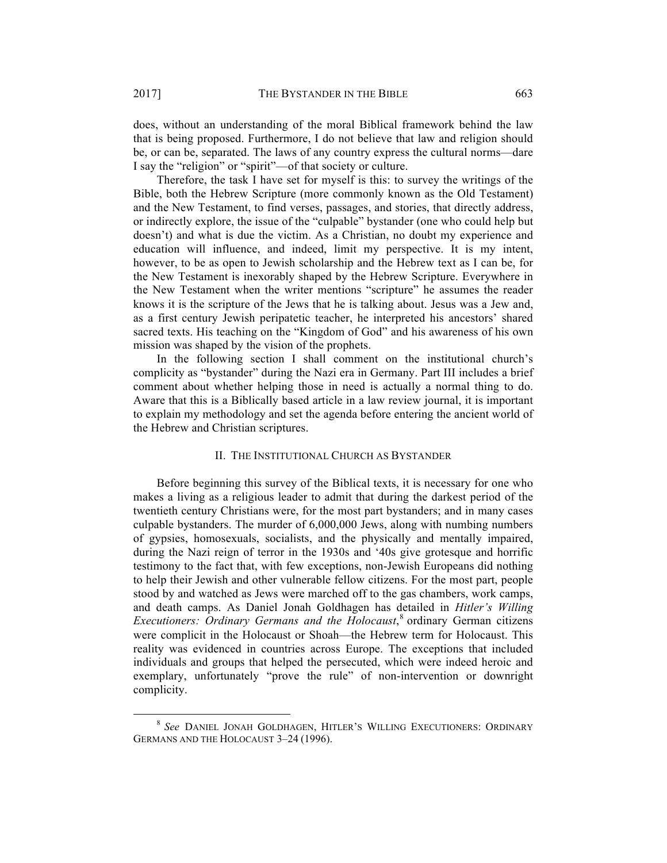does, without an understanding of the moral Biblical framework behind the law that is being proposed. Furthermore, I do not believe that law and religion should be, or can be, separated. The laws of any country express the cultural norms—dare I say the "religion" or "spirit"—of that society or culture.

Therefore, the task I have set for myself is this: to survey the writings of the Bible, both the Hebrew Scripture (more commonly known as the Old Testament) and the New Testament, to find verses, passages, and stories, that directly address, or indirectly explore, the issue of the "culpable" bystander (one who could help but doesn't) and what is due the victim. As a Christian, no doubt my experience and education will influence, and indeed, limit my perspective. It is my intent, however, to be as open to Jewish scholarship and the Hebrew text as I can be, for the New Testament is inexorably shaped by the Hebrew Scripture. Everywhere in the New Testament when the writer mentions "scripture" he assumes the reader knows it is the scripture of the Jews that he is talking about. Jesus was a Jew and, as a first century Jewish peripatetic teacher, he interpreted his ancestors' shared sacred texts. His teaching on the "Kingdom of God" and his awareness of his own mission was shaped by the vision of the prophets.

In the following section I shall comment on the institutional church's complicity as "bystander" during the Nazi era in Germany. Part III includes a brief comment about whether helping those in need is actually a normal thing to do. Aware that this is a Biblically based article in a law review journal, it is important to explain my methodology and set the agenda before entering the ancient world of the Hebrew and Christian scriptures.

# II. THE INSTITUTIONAL CHURCH AS BYSTANDER

Before beginning this survey of the Biblical texts, it is necessary for one who makes a living as a religious leader to admit that during the darkest period of the twentieth century Christians were, for the most part bystanders; and in many cases culpable bystanders. The murder of 6,000,000 Jews, along with numbing numbers of gypsies, homosexuals, socialists, and the physically and mentally impaired, during the Nazi reign of terror in the 1930s and '40s give grotesque and horrific testimony to the fact that, with few exceptions, non-Jewish Europeans did nothing to help their Jewish and other vulnerable fellow citizens. For the most part, people stood by and watched as Jews were marched off to the gas chambers, work camps, and death camps. As Daniel Jonah Goldhagen has detailed in *Hitler's Willing Executioners: Ordinary Germans and the Holocaust*, <sup>8</sup> ordinary German citizens were complicit in the Holocaust or Shoah—the Hebrew term for Holocaust. This reality was evidenced in countries across Europe. The exceptions that included individuals and groups that helped the persecuted, which were indeed heroic and exemplary, unfortunately "prove the rule" of non-intervention or downright complicity.

 <sup>8</sup> *See* DANIEL JONAH GOLDHAGEN, HITLER'S WILLING EXECUTIONERS: ORDINARY GERMANS AND THE HOLOCAUST 3–24 (1996).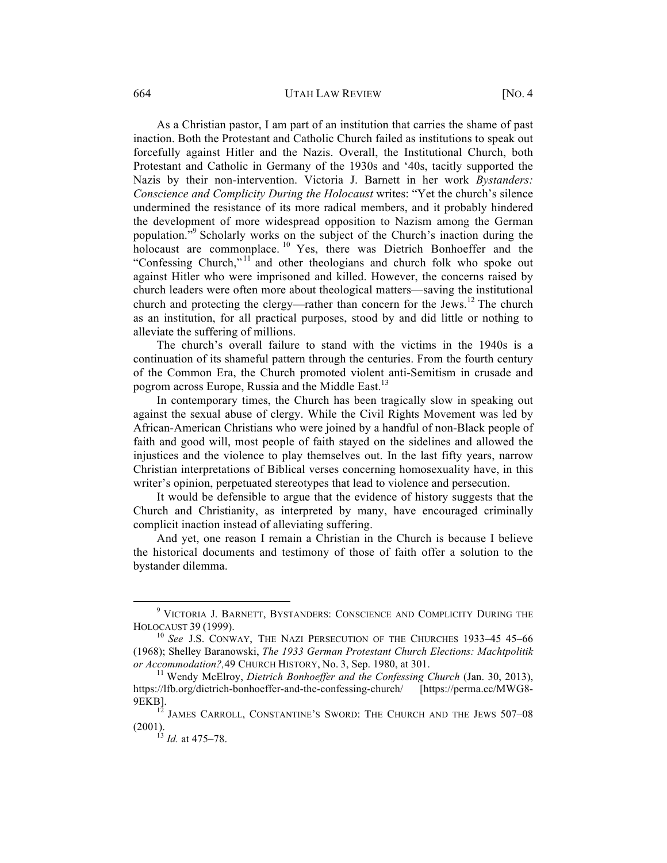# 664 UTAH LAW REVIEW [NO. 4

As a Christian pastor, I am part of an institution that carries the shame of past inaction. Both the Protestant and Catholic Church failed as institutions to speak out forcefully against Hitler and the Nazis. Overall, the Institutional Church, both Protestant and Catholic in Germany of the 1930s and '40s, tacitly supported the Nazis by their non-intervention. Victoria J. Barnett in her work *Bystanders: Conscience and Complicity During the Holocaust* writes: "Yet the church's silence undermined the resistance of its more radical members, and it probably hindered the development of more widespread opposition to Nazism among the German population."<sup>9</sup> Scholarly works on the subject of the Church's inaction during the holocaust are commonplace.<sup>10</sup> Yes, there was Dietrich Bonhoeffer and the "Confessing Church,"<sup>11</sup> and other theologians and church folk who spoke out against Hitler who were imprisoned and killed. However, the concerns raised by church leaders were often more about theological matters—saving the institutional church and protecting the clergy—rather than concern for the Jews.<sup>12</sup> The church as an institution, for all practical purposes, stood by and did little or nothing to alleviate the suffering of millions.

The church's overall failure to stand with the victims in the 1940s is a continuation of its shameful pattern through the centuries. From the fourth century of the Common Era, the Church promoted violent anti-Semitism in crusade and pogrom across Europe, Russia and the Middle East.<sup>13</sup>

In contemporary times, the Church has been tragically slow in speaking out against the sexual abuse of clergy. While the Civil Rights Movement was led by African-American Christians who were joined by a handful of non-Black people of faith and good will, most people of faith stayed on the sidelines and allowed the injustices and the violence to play themselves out. In the last fifty years, narrow Christian interpretations of Biblical verses concerning homosexuality have, in this writer's opinion, perpetuated stereotypes that lead to violence and persecution.

It would be defensible to argue that the evidence of history suggests that the Church and Christianity, as interpreted by many, have encouraged criminally complicit inaction instead of alleviating suffering.

And yet, one reason I remain a Christian in the Church is because I believe the historical documents and testimony of those of faith offer a solution to the bystander dilemma.

 $^9$  VICTORIA J. BARNETT, BYSTANDERS: CONSCIENCE AND COMPLICITY DURING THE HOLOCAUST 39 (1999).

<sup>&</sup>lt;sup>10</sup> See J.S. CONWAY, THE NAZI PERSECUTION OF THE CHURCHES 1933-45 45-66 (1968); Shelley Baranowski, *The 1933 German Protestant Church Elections: Machtpolitik or Accommodation?,*49 CHURCH HISTORY, No. 3, Sep. 1980, at 301.<br><sup>11</sup> Wendy McElroy, *Dietrich Bonhoeffer and the Confessing Church* (Jan. 30, 2013),

https://lfb.org/dietrich-bonhoeffer-and-the-confessing-church/ [https://perma.cc/MWG8-

<sup>9</sup>EKB].<br><sup>12</sup> JAMES CARROLL, CONSTANTINE'S SWORD: THE CHURCH AND THE JEWS 507–08 (2001).

<sup>13</sup> *Id.* at 475–78.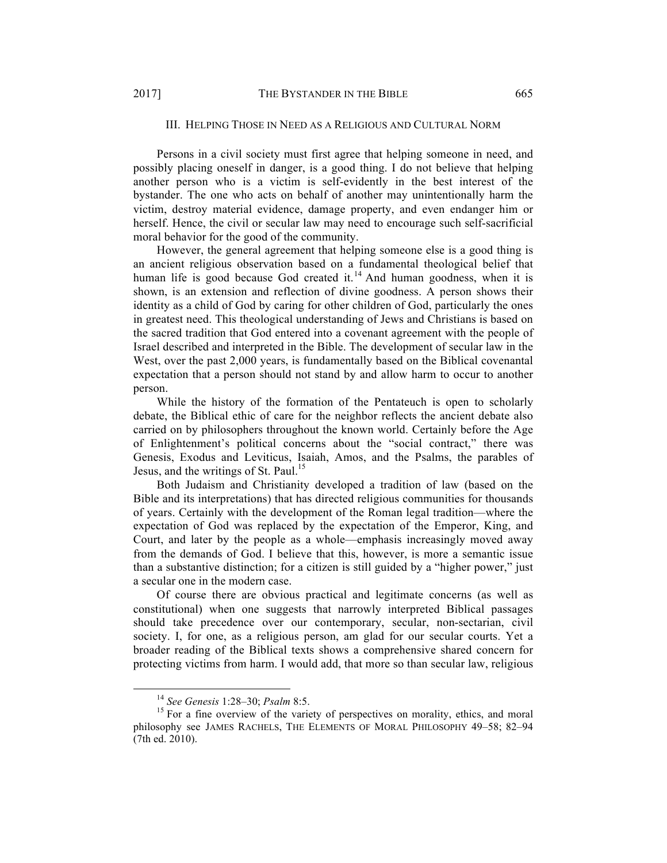# III. HELPING THOSE IN NEED AS A RELIGIOUS AND CULTURAL NORM

Persons in a civil society must first agree that helping someone in need, and possibly placing oneself in danger, is a good thing. I do not believe that helping another person who is a victim is self-evidently in the best interest of the bystander. The one who acts on behalf of another may unintentionally harm the victim, destroy material evidence, damage property, and even endanger him or herself. Hence, the civil or secular law may need to encourage such self-sacrificial moral behavior for the good of the community.

However, the general agreement that helping someone else is a good thing is an ancient religious observation based on a fundamental theological belief that human life is good because God created it.<sup>14</sup> And human goodness, when it is shown, is an extension and reflection of divine goodness. A person shows their identity as a child of God by caring for other children of God, particularly the ones in greatest need. This theological understanding of Jews and Christians is based on the sacred tradition that God entered into a covenant agreement with the people of Israel described and interpreted in the Bible. The development of secular law in the West, over the past 2,000 years, is fundamentally based on the Biblical covenantal expectation that a person should not stand by and allow harm to occur to another person.

While the history of the formation of the Pentateuch is open to scholarly debate, the Biblical ethic of care for the neighbor reflects the ancient debate also carried on by philosophers throughout the known world. Certainly before the Age of Enlightenment's political concerns about the "social contract," there was Genesis, Exodus and Leviticus, Isaiah, Amos, and the Psalms, the parables of Jesus, and the writings of St. Paul.<sup>15</sup>

Both Judaism and Christianity developed a tradition of law (based on the Bible and its interpretations) that has directed religious communities for thousands of years. Certainly with the development of the Roman legal tradition—where the expectation of God was replaced by the expectation of the Emperor, King, and Court, and later by the people as a whole—emphasis increasingly moved away from the demands of God. I believe that this, however, is more a semantic issue than a substantive distinction; for a citizen is still guided by a "higher power," just a secular one in the modern case.

Of course there are obvious practical and legitimate concerns (as well as constitutional) when one suggests that narrowly interpreted Biblical passages should take precedence over our contemporary, secular, non-sectarian, civil society. I, for one, as a religious person, am glad for our secular courts. Yet a broader reading of the Biblical texts shows a comprehensive shared concern for protecting victims from harm. I would add, that more so than secular law, religious

<sup>&</sup>lt;sup>14</sup> *See Genesis* 1:28–30; *Psalm* 8:5. <sup>15</sup> For a fine overview of the variety of perspectives on morality, ethics, and moral philosophy see JAMES RACHELS, THE ELEMENTS OF MORAL PHILOSOPHY 49–58; 82–94 (7th ed. 2010).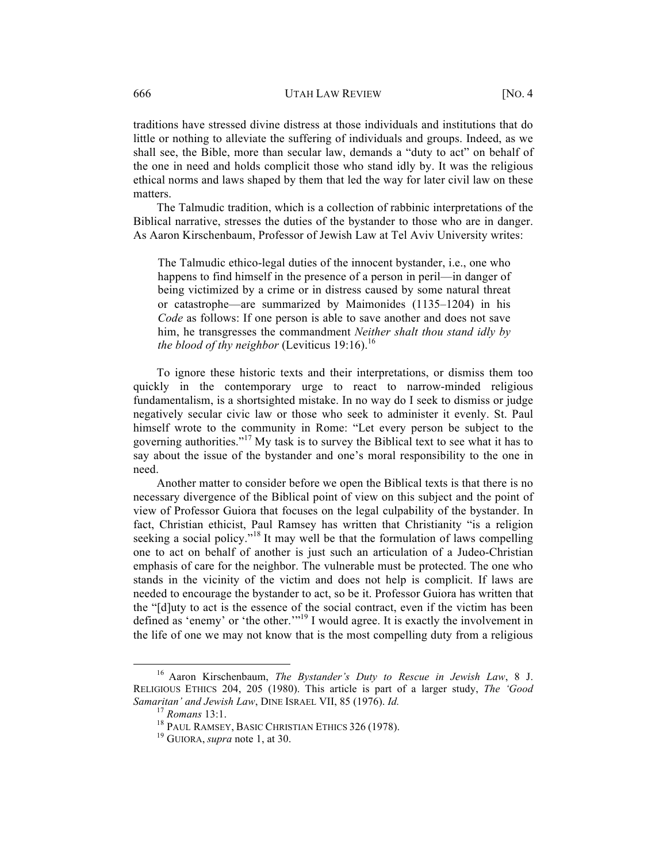# 666 UTAH LAW REVIEW [NO. 4

traditions have stressed divine distress at those individuals and institutions that do little or nothing to alleviate the suffering of individuals and groups. Indeed, as we shall see, the Bible, more than secular law, demands a "duty to act" on behalf of the one in need and holds complicit those who stand idly by. It was the religious ethical norms and laws shaped by them that led the way for later civil law on these matters.

The Talmudic tradition, which is a collection of rabbinic interpretations of the Biblical narrative, stresses the duties of the bystander to those who are in danger. As Aaron Kirschenbaum, Professor of Jewish Law at Tel Aviv University writes:

The Talmudic ethico-legal duties of the innocent bystander, i.e., one who happens to find himself in the presence of a person in peril—in danger of being victimized by a crime or in distress caused by some natural threat or catastrophe—are summarized by Maimonides (1135–1204) in his *Code* as follows: If one person is able to save another and does not save him, he transgresses the commandment *Neither shalt thou stand idly by the blood of thy neighbor* (Leviticus 19:16).<sup>16</sup>

To ignore these historic texts and their interpretations, or dismiss them too quickly in the contemporary urge to react to narrow-minded religious fundamentalism, is a shortsighted mistake. In no way do I seek to dismiss or judge negatively secular civic law or those who seek to administer it evenly. St. Paul himself wrote to the community in Rome: "Let every person be subject to the governing authorities."<sup>17</sup> My task is to survey the Biblical text to see what it has to say about the issue of the bystander and one's moral responsibility to the one in need.

Another matter to consider before we open the Biblical texts is that there is no necessary divergence of the Biblical point of view on this subject and the point of view of Professor Guiora that focuses on the legal culpability of the bystander. In fact, Christian ethicist, Paul Ramsey has written that Christianity "is a religion seeking a social policy."<sup>18</sup> It may well be that the formulation of laws compelling one to act on behalf of another is just such an articulation of a Judeo-Christian emphasis of care for the neighbor. The vulnerable must be protected. The one who stands in the vicinity of the victim and does not help is complicit. If laws are needed to encourage the bystander to act, so be it. Professor Guiora has written that the "[d]uty to act is the essence of the social contract, even if the victim has been defined as 'enemy' or 'the other.'"19 I would agree. It is exactly the involvement in the life of one we may not know that is the most compelling duty from a religious

 <sup>16</sup> Aaron Kirschenbaum, *The Bystander's Duty to Rescue in Jewish Law*, 8 J. RELIGIOUS ETHICS 204, 205 (1980). This article is part of a larger study, *The 'Good Samaritan' and Jewish Law*, DINE ISRAEL VII, 85 (1976). *Id.* 17 *Romans* 13:1.<br><sup>18</sup> PAUL RAMSEY, BASIC CHRISTIAN ETHICS 326 (1978). <sup>19</sup> GUIORA, *supra* note 1, at 30.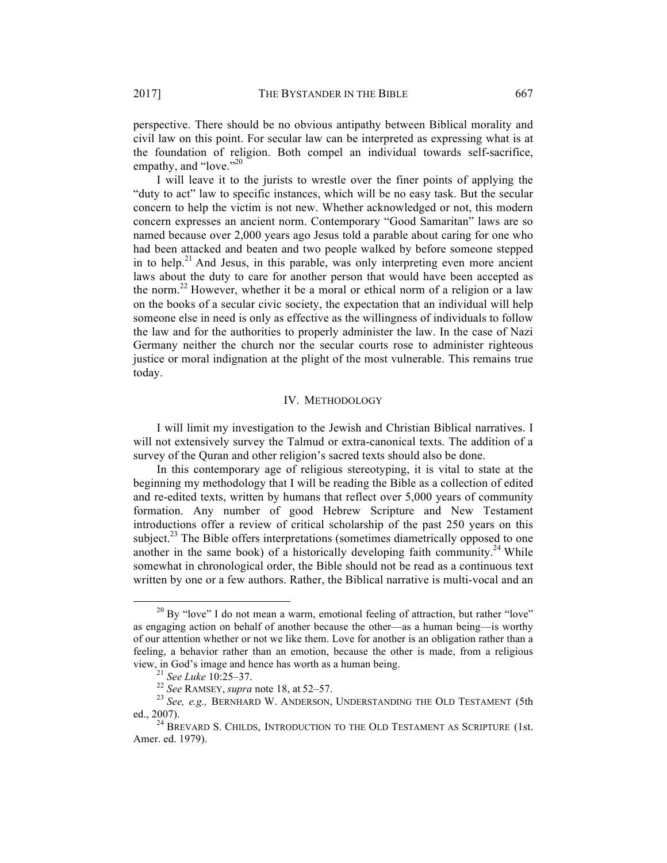perspective. There should be no obvious antipathy between Biblical morality and civil law on this point. For secular law can be interpreted as expressing what is at the foundation of religion. Both compel an individual towards self-sacrifice,

empathy, and "love."<sup>20</sup> I will leave it to the jurists to wrestle over the finer points of applying the "duty to act" law to specific instances, which will be no easy task. But the secular concern to help the victim is not new. Whether acknowledged or not, this modern concern expresses an ancient norm. Contemporary "Good Samaritan" laws are so named because over 2,000 years ago Jesus told a parable about caring for one who had been attacked and beaten and two people walked by before someone stepped in to help.<sup>21</sup> And Jesus, in this parable, was only interpreting even more ancient laws about the duty to care for another person that would have been accepted as the norm.<sup>22</sup> However, whether it be a moral or ethical norm of a religion or a law on the books of a secular civic society, the expectation that an individual will help someone else in need is only as effective as the willingness of individuals to follow the law and for the authorities to properly administer the law. In the case of Nazi Germany neither the church nor the secular courts rose to administer righteous justice or moral indignation at the plight of the most vulnerable. This remains true today.

# IV. METHODOLOGY

I will limit my investigation to the Jewish and Christian Biblical narratives. I will not extensively survey the Talmud or extra-canonical texts. The addition of a survey of the Quran and other religion's sacred texts should also be done.

In this contemporary age of religious stereotyping, it is vital to state at the beginning my methodology that I will be reading the Bible as a collection of edited and re-edited texts, written by humans that reflect over 5,000 years of community formation. Any number of good Hebrew Scripture and New Testament introductions offer a review of critical scholarship of the past 250 years on this subject.<sup>23</sup> The Bible offers interpretations (sometimes diametrically opposed to one another in the same book) of a historically developing faith community.<sup>24</sup> While somewhat in chronological order, the Bible should not be read as a continuous text written by one or a few authors. Rather, the Biblical narrative is multi-vocal and an

 $20$  By "love" I do not mean a warm, emotional feeling of attraction, but rather "love" as engaging action on behalf of another because the other—as a human being—is worthy of our attention whether or not we like them. Love for another is an obligation rather than a feeling, a behavior rather than an emotion, because the other is made, from a religious view, in God's image and hence has worth as a human being.<br><sup>21</sup> *See Luke* 10:25–37.<br><sup>22</sup> *See RAMSEY, supra* note 18, at 52–57.<br><sup>23</sup> *See, e.g., BERNHARD W. ANDERSON, UNDERSTANDING THE OLD TESTAMENT (5th* 

ed., 2007). <sup>24</sup> BREVARD S. CHILDS, INTRODUCTION TO THE OLD TESTAMENT AS SCRIPTURE (1st.

Amer. ed. 1979).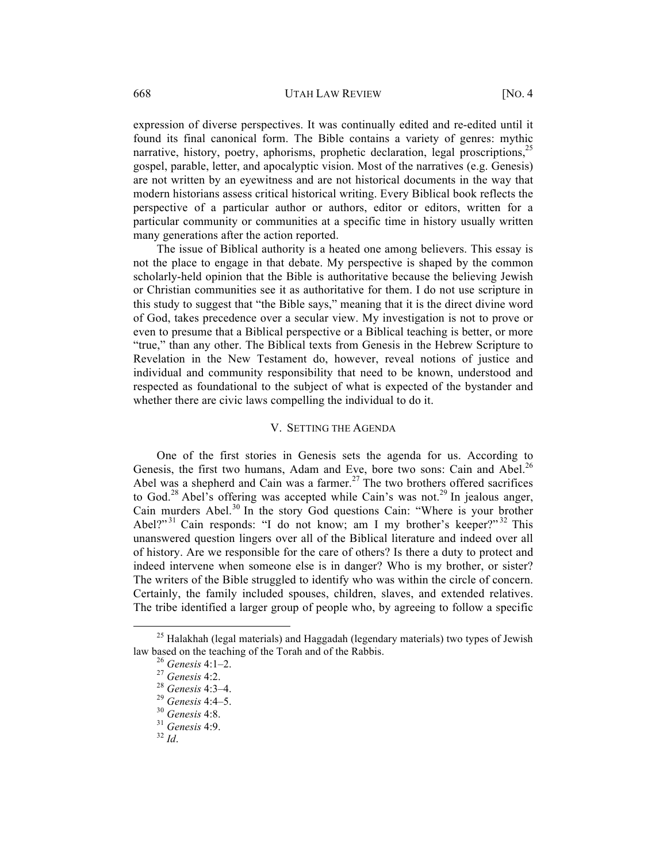expression of diverse perspectives. It was continually edited and re-edited until it found its final canonical form. The Bible contains a variety of genres: mythic narrative, history, poetry, aphorisms, prophetic declaration, legal proscriptions,  $^{25}$ gospel, parable, letter, and apocalyptic vision. Most of the narratives (e.g. Genesis) are not written by an eyewitness and are not historical documents in the way that modern historians assess critical historical writing. Every Biblical book reflects the perspective of a particular author or authors, editor or editors, written for a particular community or communities at a specific time in history usually written many generations after the action reported.

The issue of Biblical authority is a heated one among believers. This essay is not the place to engage in that debate. My perspective is shaped by the common scholarly-held opinion that the Bible is authoritative because the believing Jewish or Christian communities see it as authoritative for them. I do not use scripture in this study to suggest that "the Bible says," meaning that it is the direct divine word of God, takes precedence over a secular view. My investigation is not to prove or even to presume that a Biblical perspective or a Biblical teaching is better, or more "true," than any other. The Biblical texts from Genesis in the Hebrew Scripture to Revelation in the New Testament do, however, reveal notions of justice and individual and community responsibility that need to be known, understood and respected as foundational to the subject of what is expected of the bystander and whether there are civic laws compelling the individual to do it.

# V. SETTING THE AGENDA

One of the first stories in Genesis sets the agenda for us. According to Genesis, the first two humans, Adam and Eve, bore two sons: Cain and Abel.<sup>26</sup> Abel was a shepherd and Cain was a farmer.<sup>27</sup> The two brothers offered sacrifices to God.<sup>28</sup> Abel's offering was accepted while Cain's was not.<sup>29</sup> In jealous anger, Cain murders Abel.<sup>30</sup> In the story God questions Cain: "Where is your brother Abel?"<sup>31</sup> Cain responds: "I do not know; am I my brother's keeper?"<sup>32</sup> This unanswered question lingers over all of the Biblical literature and indeed over all of history. Are we responsible for the care of others? Is there a duty to protect and indeed intervene when someone else is in danger? Who is my brother, or sister? The writers of the Bible struggled to identify who was within the circle of concern. Certainly, the family included spouses, children, slaves, and extended relatives. The tribe identified a larger group of people who, by agreeing to follow a specific

<sup>&</sup>lt;sup>25</sup> Halakhah (legal materials) and Haggadah (legendary materials) two types of Jewish law based on the teaching of the Torah and of the Rabbis. 26 *Genesis* 4:1–2. <sup>27</sup> *Genesis* 4:2. <sup>28</sup> *Genesis* 4:3–4. <sup>29</sup> *Genesis* 4:4–5. <sup>30</sup> *Genesis* 4:8. <sup>31</sup> *Genesis* 4:9. <sup>32</sup> *Id*.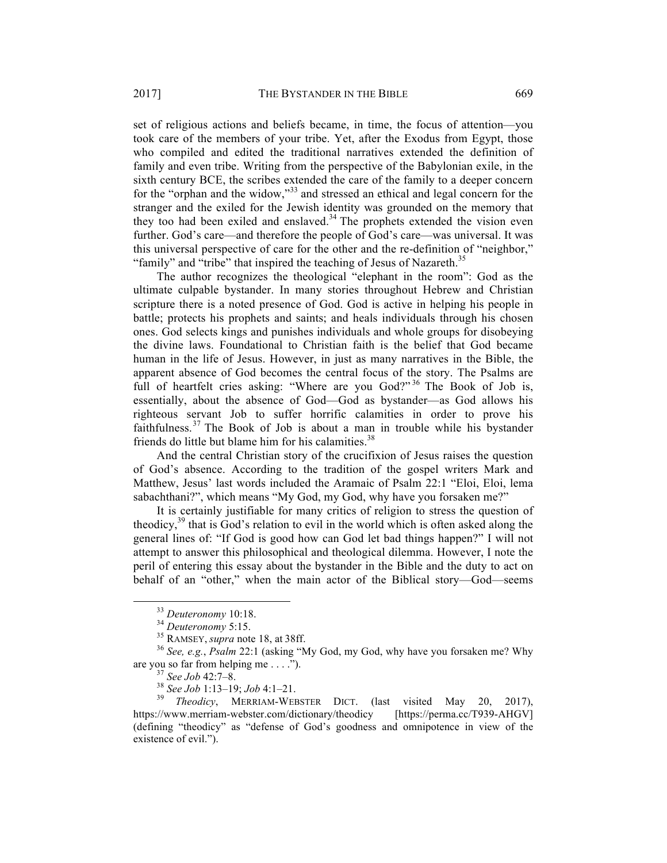set of religious actions and beliefs became, in time, the focus of attention—you took care of the members of your tribe. Yet, after the Exodus from Egypt, those who compiled and edited the traditional narratives extended the definition of family and even tribe. Writing from the perspective of the Babylonian exile, in the sixth century BCE, the scribes extended the care of the family to a deeper concern for the "orphan and the widow,"<sup>33</sup> and stressed an ethical and legal concern for the stranger and the exiled for the Jewish identity was grounded on the memory that they too had been exiled and enslaved. <sup>34</sup> The prophets extended the vision even further. God's care—and therefore the people of God's care—was universal. It was this universal perspective of care for the other and the re-definition of "neighbor," "family" and "tribe" that inspired the teaching of Jesus of Nazareth.<sup>35</sup>

The author recognizes the theological "elephant in the room": God as the ultimate culpable bystander. In many stories throughout Hebrew and Christian scripture there is a noted presence of God. God is active in helping his people in battle; protects his prophets and saints; and heals individuals through his chosen ones. God selects kings and punishes individuals and whole groups for disobeying the divine laws. Foundational to Christian faith is the belief that God became human in the life of Jesus. However, in just as many narratives in the Bible, the apparent absence of God becomes the central focus of the story. The Psalms are full of heartfelt cries asking: "Where are you God?"<sup>36</sup> The Book of Job is, essentially, about the absence of God—God as bystander—as God allows his righteous servant Job to suffer horrific calamities in order to prove his faithfulness.<sup>37</sup> The Book of Job is about a man in trouble while his bystander friends do little but blame him for his calamities.<sup>38</sup>

And the central Christian story of the crucifixion of Jesus raises the question of God's absence. According to the tradition of the gospel writers Mark and Matthew, Jesus' last words included the Aramaic of Psalm 22:1 "Eloi, Eloi, lema sabachthani?", which means "My God, my God, why have you forsaken me?"

It is certainly justifiable for many critics of religion to stress the question of theodicy, $39$  that is God's relation to evil in the world which is often asked along the general lines of: "If God is good how can God let bad things happen?" I will not attempt to answer this philosophical and theological dilemma. However, I note the peril of entering this essay about the bystander in the Bible and the duty to act on behalf of an "other," when the main actor of the Biblical story—God—seems

<sup>&</sup>lt;sup>33</sup> *Deuteronomy* 10:18.<br><sup>34</sup> *Deuteronomy* 5:15.<br><sup>35</sup> RAMSEY, *supra* note 18, at 38ff.<br><sup>36</sup> *See, e.g., Psalm* 22:1 (asking "My God, my God, why have you forsaken me? Why are you so far from helping me . . . .").<br><sup>37</sup> *See Job* 42:7–8.<br><sup>38</sup> *See Job* 1:13–19; *Job* 4:1–21.<br><sup>39</sup> *Theodicy*, MERRIAM-WEBSTER DICT. (last visited May 20, 2017),

https://www.merriam-webster.com/dictionary/theodicy [https://perma.cc/T939-AHGV] (defining "theodicy" as "defense of God's goodness and omnipotence in view of the existence of evil.").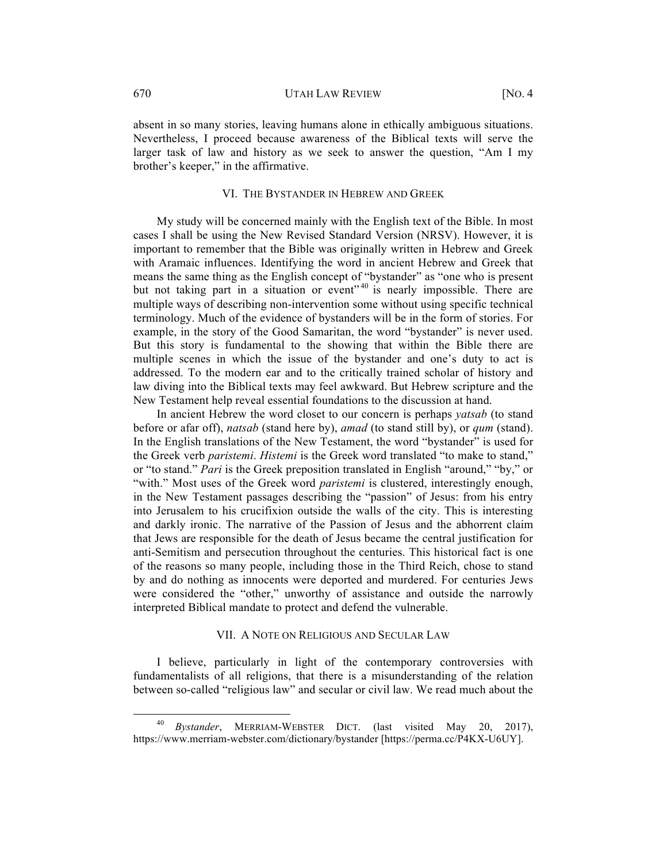absent in so many stories, leaving humans alone in ethically ambiguous situations. Nevertheless, I proceed because awareness of the Biblical texts will serve the larger task of law and history as we seek to answer the question, "Am I my brother's keeper," in the affirmative.

# VI. THE BYSTANDER IN HEBREW AND GREEK

My study will be concerned mainly with the English text of the Bible. In most cases I shall be using the New Revised Standard Version (NRSV). However, it is important to remember that the Bible was originally written in Hebrew and Greek with Aramaic influences. Identifying the word in ancient Hebrew and Greek that means the same thing as the English concept of "bystander" as "one who is present but not taking part in a situation or event"  $40$  is nearly impossible. There are multiple ways of describing non-intervention some without using specific technical terminology. Much of the evidence of bystanders will be in the form of stories. For example, in the story of the Good Samaritan, the word "bystander" is never used. But this story is fundamental to the showing that within the Bible there are multiple scenes in which the issue of the bystander and one's duty to act is addressed. To the modern ear and to the critically trained scholar of history and law diving into the Biblical texts may feel awkward. But Hebrew scripture and the New Testament help reveal essential foundations to the discussion at hand.

In ancient Hebrew the word closet to our concern is perhaps *yatsab* (to stand before or afar off), *natsab* (stand here by), *amad* (to stand still by), or *qum* (stand). In the English translations of the New Testament, the word "bystander" is used for the Greek verb *paristemi*. *Histemi* is the Greek word translated "to make to stand," or "to stand." *Pari* is the Greek preposition translated in English "around," "by," or "with." Most uses of the Greek word *paristemi* is clustered, interestingly enough, in the New Testament passages describing the "passion" of Jesus: from his entry into Jerusalem to his crucifixion outside the walls of the city. This is interesting and darkly ironic. The narrative of the Passion of Jesus and the abhorrent claim that Jews are responsible for the death of Jesus became the central justification for anti-Semitism and persecution throughout the centuries. This historical fact is one of the reasons so many people, including those in the Third Reich, chose to stand by and do nothing as innocents were deported and murdered. For centuries Jews were considered the "other," unworthy of assistance and outside the narrowly interpreted Biblical mandate to protect and defend the vulnerable.

#### VII. A NOTE ON RELIGIOUS AND SECULAR LAW

I believe, particularly in light of the contemporary controversies with fundamentalists of all religions, that there is a misunderstanding of the relation between so-called "religious law" and secular or civil law. We read much about the

 <sup>40</sup> *Bystander*, MERRIAM-WEBSTER DICT. (last visited May 20, 2017), https://www.merriam-webster.com/dictionary/bystander [https://perma.cc/P4KX-U6UY].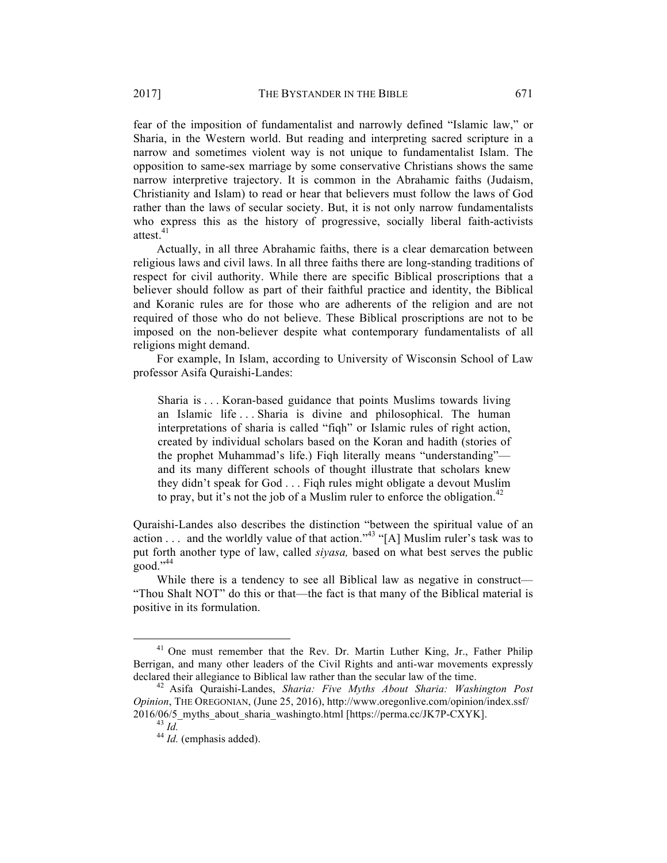fear of the imposition of fundamentalist and narrowly defined "Islamic law," or Sharia, in the Western world. But reading and interpreting sacred scripture in a narrow and sometimes violent way is not unique to fundamentalist Islam. The opposition to same-sex marriage by some conservative Christians shows the same narrow interpretive trajectory. It is common in the Abrahamic faiths (Judaism, Christianity and Islam) to read or hear that believers must follow the laws of God rather than the laws of secular society. But, it is not only narrow fundamentalists who express this as the history of progressive, socially liberal faith-activists attest.<sup>41</sup>

Actually, in all three Abrahamic faiths, there is a clear demarcation between religious laws and civil laws. In all three faiths there are long-standing traditions of respect for civil authority. While there are specific Biblical proscriptions that a believer should follow as part of their faithful practice and identity, the Biblical and Koranic rules are for those who are adherents of the religion and are not required of those who do not believe. These Biblical proscriptions are not to be imposed on the non-believer despite what contemporary fundamentalists of all religions might demand.

For example, In Islam, according to University of Wisconsin School of Law professor Asifa Quraishi-Landes:

Sharia is . . . Koran-based guidance that points Muslims towards living an Islamic life . . . Sharia is divine and philosophical. The human interpretations of sharia is called "fiqh" or Islamic rules of right action, created by individual scholars based on the Koran and hadith (stories of the prophet Muhammad's life.) Fiqh literally means "understanding" and its many different schools of thought illustrate that scholars knew they didn't speak for God . . . Fiqh rules might obligate a devout Muslim to pray, but it's not the job of a Muslim ruler to enforce the obligation.<sup>42</sup>

Quraishi-Landes also describes the distinction "between the spiritual value of an action  $\ldots$  and the worldly value of that action."<sup>43</sup> "[A] Muslim ruler's task was to put forth another type of law, called *siyasa,* based on what best serves the public good."44

While there is a tendency to see all Biblical law as negative in construct— "Thou Shalt NOT" do this or that—the fact is that many of the Biblical material is positive in its formulation.

 $41$  One must remember that the Rev. Dr. Martin Luther King, Jr., Father Philip Berrigan, and many other leaders of the Civil Rights and anti-war movements expressly declared their allegiance to Biblical law rather than the secular law of the time. 42 Asifa Quraishi-Landes, *Sharia: Five Myths About Sharia: Washington Post* 

*Opinion*, THE OREGONIAN, (June 25, 2016), http://www.oregonlive.com/opinion/index.ssf/ 2016/06/5\_myths\_about\_sharia\_washingto.html [https://perma.cc/JK7P-CXYK]. <sup>43</sup> *Id.* <sup>44</sup> *Id.* (emphasis added).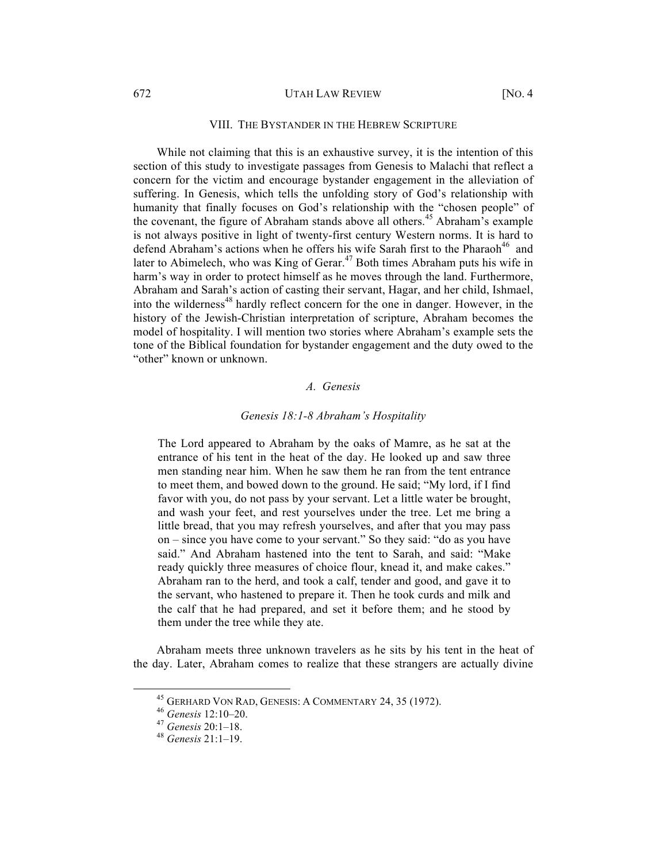#### 672 UTAH LAW REVIEW [NO. 4

#### VIII. THE BYSTANDER IN THE HEBREW SCRIPTURE

While not claiming that this is an exhaustive survey, it is the intention of this section of this study to investigate passages from Genesis to Malachi that reflect a concern for the victim and encourage bystander engagement in the alleviation of suffering. In Genesis, which tells the unfolding story of God's relationship with humanity that finally focuses on God's relationship with the "chosen people" of the covenant, the figure of Abraham stands above all others.<sup>45</sup> Abraham's example is not always positive in light of twenty-first century Western norms. It is hard to defend Abraham's actions when he offers his wife Sarah first to the Pharaoh<sup>46</sup> and later to Abimelech, who was King of Gerar.<sup>47</sup> Both times Abraham puts his wife in harm's way in order to protect himself as he moves through the land. Furthermore, Abraham and Sarah's action of casting their servant, Hagar, and her child, Ishmael, into the wilderness<sup>48</sup> hardly reflect concern for the one in danger. However, in the history of the Jewish-Christian interpretation of scripture, Abraham becomes the model of hospitality. I will mention two stories where Abraham's example sets the tone of the Biblical foundation for bystander engagement and the duty owed to the "other" known or unknown.

# *A. Genesis*

#### *Genesis 18:1-8 Abraham's Hospitality*

The Lord appeared to Abraham by the oaks of Mamre, as he sat at the entrance of his tent in the heat of the day. He looked up and saw three men standing near him. When he saw them he ran from the tent entrance to meet them, and bowed down to the ground. He said; "My lord, if I find favor with you, do not pass by your servant. Let a little water be brought, and wash your feet, and rest yourselves under the tree. Let me bring a little bread, that you may refresh yourselves, and after that you may pass on – since you have come to your servant." So they said: "do as you have said." And Abraham hastened into the tent to Sarah, and said: "Make ready quickly three measures of choice flour, knead it, and make cakes." Abraham ran to the herd, and took a calf, tender and good, and gave it to the servant, who hastened to prepare it. Then he took curds and milk and the calf that he had prepared, and set it before them; and he stood by them under the tree while they ate.

Abraham meets three unknown travelers as he sits by his tent in the heat of the day. Later, Abraham comes to realize that these strangers are actually divine

 <sup>45</sup> GERHARD VON RAD, GENESIS: <sup>A</sup> COMMENTARY 24, 35 (1972). <sup>46</sup> *Genesis* 12:10–20. 47 *Genesis* 20:1–18. <sup>48</sup> *Genesis* 21:1–19.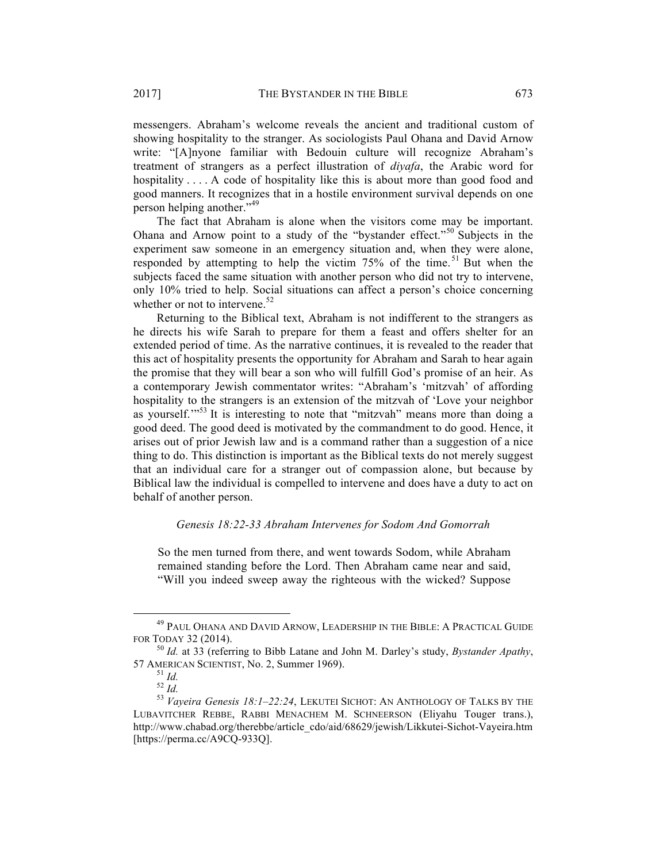messengers. Abraham's welcome reveals the ancient and traditional custom of showing hospitality to the stranger. As sociologists Paul Ohana and David Arnow write: "[A]nyone familiar with Bedouin culture will recognize Abraham's treatment of strangers as a perfect illustration of *diyafa*, the Arabic word for hospitality . . . . A code of hospitality like this is about more than good food and good manners. It recognizes that in a hostile environment survival depends on one person helping another."<sup>49</sup>

The fact that Abraham is alone when the visitors come may be important. Ohana and Arnow point to a study of the "bystander effect."<sup>50</sup> Subjects in the experiment saw someone in an emergency situation and, when they were alone, responded by attempting to help the victim 75% of the time.<sup>51</sup> But when the subjects faced the same situation with another person who did not try to intervene, only 10% tried to help. Social situations can affect a person's choice concerning whether or not to intervene.<sup>52</sup>

Returning to the Biblical text, Abraham is not indifferent to the strangers as he directs his wife Sarah to prepare for them a feast and offers shelter for an extended period of time. As the narrative continues, it is revealed to the reader that this act of hospitality presents the opportunity for Abraham and Sarah to hear again the promise that they will bear a son who will fulfill God's promise of an heir. As a contemporary Jewish commentator writes: "Abraham's 'mitzvah' of affording hospitality to the strangers is an extension of the mitzvah of 'Love your neighbor as yourself."<sup>53</sup> It is interesting to note that "mitzvah" means more than doing a good deed. The good deed is motivated by the commandment to do good. Hence, it arises out of prior Jewish law and is a command rather than a suggestion of a nice thing to do. This distinction is important as the Biblical texts do not merely suggest that an individual care for a stranger out of compassion alone, but because by Biblical law the individual is compelled to intervene and does have a duty to act on behalf of another person.

# *Genesis 18:22-33 Abraham Intervenes for Sodom And Gomorrah*

So the men turned from there, and went towards Sodom, while Abraham remained standing before the Lord. Then Abraham came near and said, "Will you indeed sweep away the righteous with the wicked? Suppose

 <sup>49</sup> PAUL OHANA AND DAVID ARNOW, LEADERSHIP IN THE BIBLE: <sup>A</sup> PRACTICAL GUIDE FOR TODAY 32 (2014). <sup>50</sup> *Id.* at 33 (referring to Bibb Latane and John M. Darley's study, *Bystander Apathy*,

<sup>57</sup> AMERICAN SCIENTIST, No. 2, Summer 1969).<br><sup>51</sup> *Id.* 52 *Id.* 52 *Id.* 53 *Vayeira Genesis 18:1–22:24*, LEKUTEI SICHOT: AN ANTHOLOGY OF TALKS BY THE

LUBAVITCHER REBBE, RABBI MENACHEM M. SCHNEERSON (Eliyahu Touger trans.), http://www.chabad.org/therebbe/article\_cdo/aid/68629/jewish/Likkutei-Sichot-Vayeira.htm [https://perma.cc/A9CQ-933Q].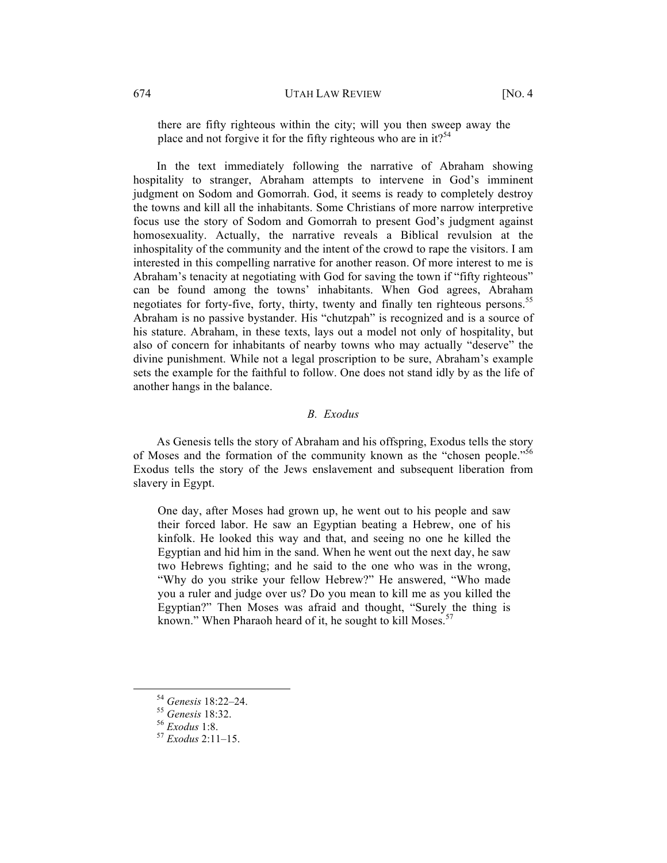there are fifty righteous within the city; will you then sweep away the place and not forgive it for the fifty righteous who are in it?<sup>54</sup>

In the text immediately following the narrative of Abraham showing hospitality to stranger, Abraham attempts to intervene in God's imminent judgment on Sodom and Gomorrah. God, it seems is ready to completely destroy the towns and kill all the inhabitants. Some Christians of more narrow interpretive focus use the story of Sodom and Gomorrah to present God's judgment against homosexuality. Actually, the narrative reveals a Biblical revulsion at the inhospitality of the community and the intent of the crowd to rape the visitors. I am interested in this compelling narrative for another reason. Of more interest to me is Abraham's tenacity at negotiating with God for saving the town if "fifty righteous" can be found among the towns' inhabitants. When God agrees, Abraham negotiates for forty-five, forty, thirty, twenty and finally ten righteous persons.<sup>55</sup> Abraham is no passive bystander. His "chutzpah" is recognized and is a source of his stature. Abraham, in these texts, lays out a model not only of hospitality, but also of concern for inhabitants of nearby towns who may actually "deserve" the divine punishment. While not a legal proscription to be sure, Abraham's example sets the example for the faithful to follow. One does not stand idly by as the life of another hangs in the balance.

# *B. Exodus*

As Genesis tells the story of Abraham and his offspring, Exodus tells the story of Moses and the formation of the community known as the "chosen people."<sup>56</sup> Exodus tells the story of the Jews enslavement and subsequent liberation from slavery in Egypt.

One day, after Moses had grown up, he went out to his people and saw their forced labor. He saw an Egyptian beating a Hebrew, one of his kinfolk. He looked this way and that, and seeing no one he killed the Egyptian and hid him in the sand. When he went out the next day, he saw two Hebrews fighting; and he said to the one who was in the wrong, "Why do you strike your fellow Hebrew?" He answered, "Who made you a ruler and judge over us? Do you mean to kill me as you killed the Egyptian?" Then Moses was afraid and thought, "Surely the thing is known." When Pharaoh heard of it, he sought to kill Moses.<sup>57</sup>

 <sup>54</sup> *Genesis* 18:22–24. <sup>55</sup> *Genesis* 18:32. <sup>56</sup> *Exodus* 1:8. <sup>57</sup> *Exodus* 2:11–15.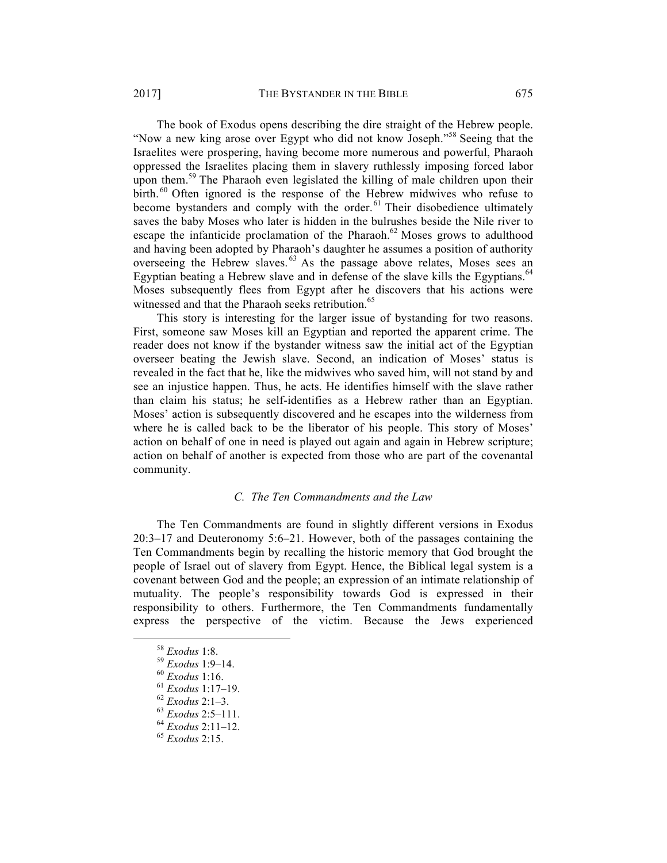The book of Exodus opens describing the dire straight of the Hebrew people. "Now a new king arose over Egypt who did not know Joseph."<sup>58</sup> Seeing that the Israelites were prospering, having become more numerous and powerful, Pharaoh oppressed the Israelites placing them in slavery ruthlessly imposing forced labor upon them.<sup>59</sup> The Pharaoh even legislated the killing of male children upon their birth.<sup>60</sup> Often ignored is the response of the Hebrew midwives who refuse to become bystanders and comply with the order.<sup>61</sup> Their disobedience ultimately saves the baby Moses who later is hidden in the bulrushes beside the Nile river to escape the infanticide proclamation of the Pharaoh.<sup>62</sup> Moses grows to adulthood and having been adopted by Pharaoh's daughter he assumes a position of authority overseeing the Hebrew slaves. <sup>63</sup> As the passage above relates, Moses sees an Egyptian beating a Hebrew slave and in defense of the slave kills the Egyptians.<sup>64</sup>

Moses subsequently flees from Egypt after he discovers that his actions were witnessed and that the Pharaoh seeks retribution.<sup>65</sup>

This story is interesting for the larger issue of bystanding for two reasons. First, someone saw Moses kill an Egyptian and reported the apparent crime. The reader does not know if the bystander witness saw the initial act of the Egyptian overseer beating the Jewish slave. Second, an indication of Moses' status is revealed in the fact that he, like the midwives who saved him, will not stand by and see an injustice happen. Thus, he acts. He identifies himself with the slave rather than claim his status; he self-identifies as a Hebrew rather than an Egyptian. Moses' action is subsequently discovered and he escapes into the wilderness from where he is called back to be the liberator of his people. This story of Moses' action on behalf of one in need is played out again and again in Hebrew scripture; action on behalf of another is expected from those who are part of the covenantal community.

# *C. The Ten Commandments and the Law*

The Ten Commandments are found in slightly different versions in Exodus 20:3–17 and Deuteronomy 5:6–21. However, both of the passages containing the Ten Commandments begin by recalling the historic memory that God brought the people of Israel out of slavery from Egypt. Hence, the Biblical legal system is a covenant between God and the people; an expression of an intimate relationship of mutuality. The people's responsibility towards God is expressed in their responsibility to others. Furthermore, the Ten Commandments fundamentally express the perspective of the victim. Because the Jews experienced

 <sup>58</sup> *Exodus* 1:8. <sup>59</sup> *Exodus* 1:9–14. <sup>60</sup> *Exodus* 1:16. <sup>61</sup> *Exodus* 1:17–19. <sup>62</sup> *Exodus* 2:1–3. <sup>63</sup> *Exodus* 2:5–111. <sup>64</sup> *Exodus* 2:11–12. <sup>65</sup> *Exodus* 2:15.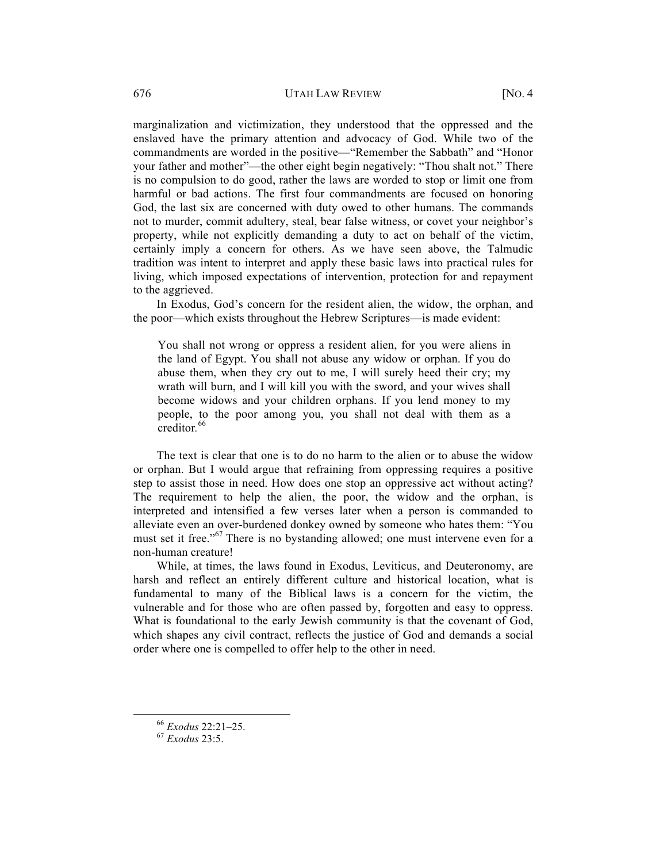marginalization and victimization, they understood that the oppressed and the enslaved have the primary attention and advocacy of God. While two of the commandments are worded in the positive—"Remember the Sabbath" and "Honor your father and mother"—the other eight begin negatively: "Thou shalt not." There is no compulsion to do good, rather the laws are worded to stop or limit one from harmful or bad actions. The first four commandments are focused on honoring God, the last six are concerned with duty owed to other humans. The commands not to murder, commit adultery, steal, bear false witness, or covet your neighbor's property, while not explicitly demanding a duty to act on behalf of the victim, certainly imply a concern for others. As we have seen above, the Talmudic tradition was intent to interpret and apply these basic laws into practical rules for living, which imposed expectations of intervention, protection for and repayment to the aggrieved.

In Exodus, God's concern for the resident alien, the widow, the orphan, and the poor—which exists throughout the Hebrew Scriptures—is made evident:

You shall not wrong or oppress a resident alien, for you were aliens in the land of Egypt. You shall not abuse any widow or orphan. If you do abuse them, when they cry out to me, I will surely heed their cry; my wrath will burn, and I will kill you with the sword, and your wives shall become widows and your children orphans. If you lend money to my people, to the poor among you, you shall not deal with them as a creditor*.* 66

The text is clear that one is to do no harm to the alien or to abuse the widow or orphan. But I would argue that refraining from oppressing requires a positive step to assist those in need. How does one stop an oppressive act without acting? The requirement to help the alien, the poor, the widow and the orphan, is interpreted and intensified a few verses later when a person is commanded to alleviate even an over-burdened donkey owned by someone who hates them: "You must set it free."<sup>67</sup> There is no bystanding allowed; one must intervene even for a non-human creature!

While, at times, the laws found in Exodus, Leviticus, and Deuteronomy, are harsh and reflect an entirely different culture and historical location, what is fundamental to many of the Biblical laws is a concern for the victim, the vulnerable and for those who are often passed by, forgotten and easy to oppress. What is foundational to the early Jewish community is that the covenant of God, which shapes any civil contract, reflects the justice of God and demands a social order where one is compelled to offer help to the other in need.

 <sup>66</sup> *Exodus* 22:21–25. <sup>67</sup> *Exodus* 23:5.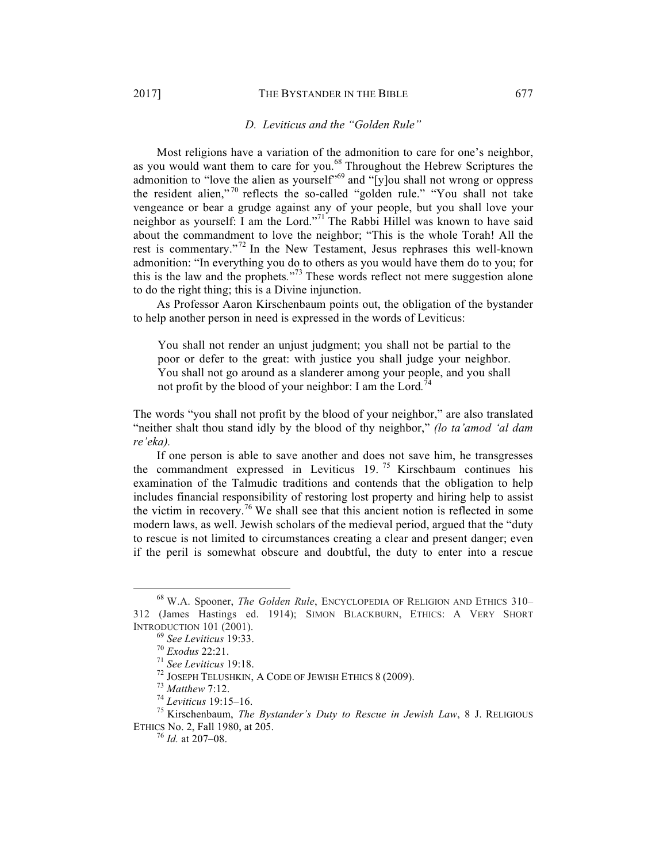#### *D. Leviticus and the "Golden Rule"*

Most religions have a variation of the admonition to care for one's neighbor, as you would want them to care for you.<sup>68</sup> Throughout the Hebrew Scriptures the admonition to "love the alien as yourself"<sup>69</sup> and "[y]ou shall not wrong or oppress the resident alien,"<sup>70</sup> reflects the so-called "golden rule." "You shall not take vengeance or bear a grudge against any of your people, but you shall love your neighbor as yourself: I am the Lord." <sup>71</sup> The Rabbi Hillel was known to have said about the commandment to love the neighbor; "This is the whole Torah! All the rest is commentary."<sup>72</sup> In the New Testament, Jesus rephrases this well-known admonition: "In everything you do to others as you would have them do to you; for this is the law and the prophets*.*" <sup>73</sup> These words reflect not mere suggestion alone to do the right thing; this is a Divine injunction.

As Professor Aaron Kirschenbaum points out, the obligation of the bystander to help another person in need is expressed in the words of Leviticus:

You shall not render an unjust judgment; you shall not be partial to the poor or defer to the great: with justice you shall judge your neighbor. You shall not go around as a slanderer among your people, and you shall not profit by the blood of your neighbor: I am the Lord*.* 74

The words "you shall not profit by the blood of your neighbor," are also translated "neither shalt thou stand idly by the blood of thy neighbor," *(lo ta'amod 'al dam re'eka).*

If one person is able to save another and does not save him, he transgresses the commandment expressed in Leviticus  $19.75$  Kirschbaum continues his examination of the Talmudic traditions and contends that the obligation to help includes financial responsibility of restoring lost property and hiring help to assist the victim in recovery.<sup>76</sup> We shall see that this ancient notion is reflected in some modern laws, as well. Jewish scholars of the medieval period, argued that the "duty to rescue is not limited to circumstances creating a clear and present danger; even if the peril is somewhat obscure and doubtful, the duty to enter into a rescue

 <sup>68</sup> W.A. Spooner, *The Golden Rule*, ENCYCLOPEDIA OF RELIGION AND ETHICS 310– 312 (James Hastings ed. 1914); SIMON BLACKBURN, ETHICS: A VERY SHORT INTRODUCTION 101 (2001).<br>
<sup>69</sup> See Leviticus 19:33.<br>
<sup>70</sup> Exodus 22:21.<br>
<sup>71</sup> See Leviticus 19:18.<br>
<sup>72</sup> JOSEPH TELUSHKIN, A CODE OF JEWISH ETHICS 8 (2009).<br>
<sup>73</sup> Matthew 7:12.<br>
<sup>74</sup> Leviticus 19:15–16.<br>
<sup>75</sup> Kirschenbaum

ETHICS No. 2, Fall 1980, at 205. <sup>76</sup> *Id.* at 207–08.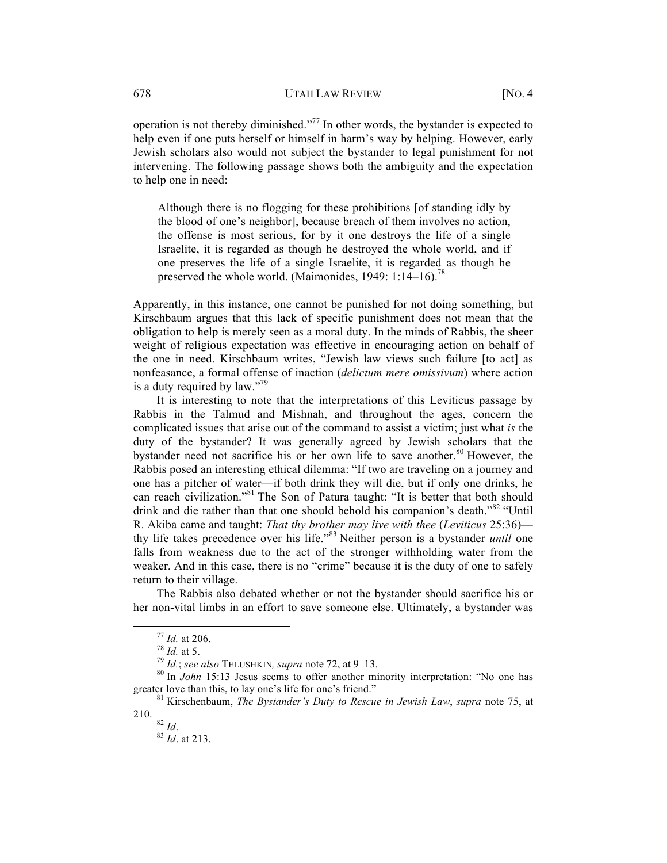operation is not thereby diminished."<sup>77</sup> In other words, the bystander is expected to help even if one puts herself or himself in harm's way by helping. However, early Jewish scholars also would not subject the bystander to legal punishment for not intervening. The following passage shows both the ambiguity and the expectation to help one in need:

Although there is no flogging for these prohibitions [of standing idly by the blood of one's neighbor], because breach of them involves no action, the offense is most serious, for by it one destroys the life of a single Israelite, it is regarded as though he destroyed the whole world, and if one preserves the life of a single Israelite, it is regarded as though he preserved the whole world. (Maimonides, 1949: 1:14–16).<sup>78</sup>

Apparently, in this instance, one cannot be punished for not doing something, but Kirschbaum argues that this lack of specific punishment does not mean that the obligation to help is merely seen as a moral duty. In the minds of Rabbis, the sheer weight of religious expectation was effective in encouraging action on behalf of the one in need. Kirschbaum writes, "Jewish law views such failure [to act] as nonfeasance, a formal offense of inaction (*delictum mere omissivum*) where action is a duty required by  $law.^{79}$ 

It is interesting to note that the interpretations of this Leviticus passage by Rabbis in the Talmud and Mishnah, and throughout the ages, concern the complicated issues that arise out of the command to assist a victim; just what *is* the duty of the bystander? It was generally agreed by Jewish scholars that the bystander need not sacrifice his or her own life to save another. <sup>80</sup> However, the Rabbis posed an interesting ethical dilemma: "If two are traveling on a journey and one has a pitcher of water—if both drink they will die, but if only one drinks, he can reach civilization."<sup>81</sup> The Son of Patura taught: "It is better that both should drink and die rather than that one should behold his companion's death."<sup>82</sup> "Until R. Akiba came and taught: *That thy brother may live with thee* (*Leviticus* 25:36) thy life takes precedence over his life." <sup>83</sup> Neither person is a bystander *until* one falls from weakness due to the act of the stronger withholding water from the weaker. And in this case, there is no "crime" because it is the duty of one to safely return to their village.

The Rabbis also debated whether or not the bystander should sacrifice his or her non-vital limbs in an effort to save someone else. Ultimately, a bystander was

<sup>&</sup>lt;sup>77</sup> *Id.* at 206.<br><sup>78</sup> *Id.*; *see also* TELUSHKIN*, supra* note 72, at 9–13.<br><sup>80</sup> In *John* 15:13 Jesus seems to offer another minority interpretation: "No one has greater love than this, to lay one's life for one's friend." 81 Kirschenbaum, *The Bystander's Duty to Rescue in Jewish Law*, *supra* note 75, at

<sup>210.</sup>  $82$  *Id.* 

<sup>82</sup> *Id*. <sup>83</sup> *Id*. at 213.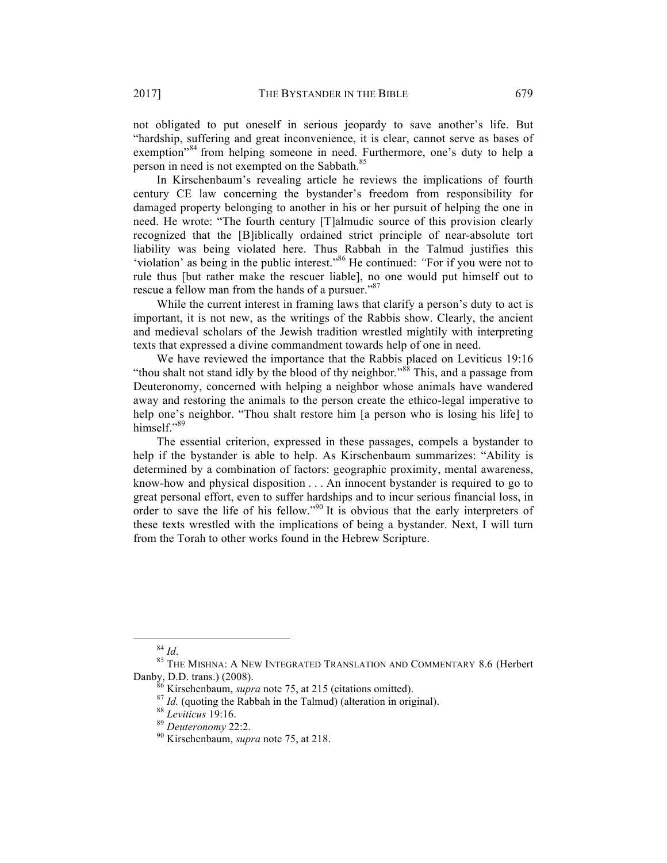not obligated to put oneself in serious jeopardy to save another's life. But "hardship, suffering and great inconvenience, it is clear, cannot serve as bases of exemption<sup>384</sup> from helping someone in need. Furthermore, one's duty to help a person in need is not exempted on the Sabbath.<sup>85</sup>

In Kirschenbaum's revealing article he reviews the implications of fourth century CE law concerning the bystander's freedom from responsibility for damaged property belonging to another in his or her pursuit of helping the one in need. He wrote: "The fourth century [T]almudic source of this provision clearly recognized that the [B]iblically ordained strict principle of near-absolute tort liability was being violated here. Thus Rabbah in the Talmud justifies this 'violation' as being in the public interest."<sup>86</sup> He continued: *"*For if you were not to rule thus [but rather make the rescuer liable], no one would put himself out to rescue a fellow man from the hands of a pursuer."<sup>87</sup>

While the current interest in framing laws that clarify a person's duty to act is important, it is not new, as the writings of the Rabbis show. Clearly, the ancient and medieval scholars of the Jewish tradition wrestled mightily with interpreting texts that expressed a divine commandment towards help of one in need.

We have reviewed the importance that the Rabbis placed on Leviticus 19:16 "thou shalt not stand idly by the blood of thy neighbor*.*" <sup>88</sup> This, and a passage from Deuteronomy, concerned with helping a neighbor whose animals have wandered away and restoring the animals to the person create the ethico-legal imperative to help one's neighbor. "Thou shalt restore him [a person who is losing his life] to himself."89

The essential criterion, expressed in these passages, compels a bystander to help if the bystander is able to help. As Kirschenbaum summarizes: "Ability is determined by a combination of factors: geographic proximity, mental awareness, know-how and physical disposition . . . An innocent bystander is required to go to great personal effort, even to suffer hardships and to incur serious financial loss, in order to save the life of his fellow."<sup>90</sup> It is obvious that the early interpreters of these texts wrestled with the implications of being a bystander. Next, I will turn from the Torah to other works found in the Hebrew Scripture.

<sup>&</sup>lt;sup>84</sup> *Id.* 85 THE MISHNA: A NEW INTEGRATED TRANSLATION AND COMMENTARY 8.6 (Herbert Danby, D.D. trans.) (2008).

<sup>&</sup>lt;sup>86</sup> Kirschenbaum, *supra* note 75, at 215 (citations omitted).<br><sup>87</sup> *Id.* (quoting the Rabbah in the Talmud) (alteration in original).<br><sup>88</sup> *Leviticus* 19:16.<br><sup>89</sup> *Deuteronomy* 22:2.<br><sup>90</sup> Kirschenbaum. *supra* note 75.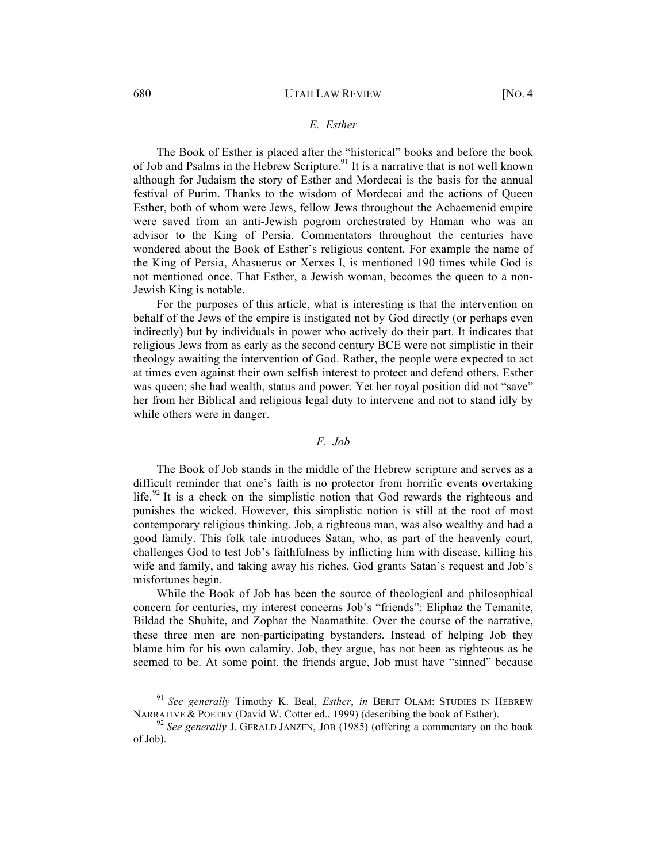## *E. Esther*

The Book of Esther is placed after the "historical" books and before the book of Job and Psalms in the Hebrew Scripture.<sup>91</sup> It is a narrative that is not well known although for Judaism the story of Esther and Mordecai is the basis for the annual festival of Purim. Thanks to the wisdom of Mordecai and the actions of Queen Esther, both of whom were Jews, fellow Jews throughout the Achaemenid empire were saved from an anti-Jewish pogrom orchestrated by Haman who was an advisor to the King of Persia. Commentators throughout the centuries have wondered about the Book of Esther's religious content. For example the name of the King of Persia, Ahasuerus or Xerxes I, is mentioned 190 times while God is not mentioned once. That Esther, a Jewish woman, becomes the queen to a non-Jewish King is notable.

For the purposes of this article, what is interesting is that the intervention on behalf of the Jews of the empire is instigated not by God directly (or perhaps even indirectly) but by individuals in power who actively do their part. It indicates that religious Jews from as early as the second century BCE were not simplistic in their theology awaiting the intervention of God. Rather, the people were expected to act at times even against their own selfish interest to protect and defend others. Esther was queen; she had wealth, status and power. Yet her royal position did not "save" her from her Biblical and religious legal duty to intervene and not to stand idly by while others were in danger.

# *F. Job*

The Book of Job stands in the middle of the Hebrew scripture and serves as a difficult reminder that one's faith is no protector from horrific events overtaking life.<sup>92</sup> It is a check on the simplistic notion that God rewards the righteous and punishes the wicked. However, this simplistic notion is still at the root of most contemporary religious thinking. Job, a righteous man, was also wealthy and had a good family. This folk tale introduces Satan, who, as part of the heavenly court, challenges God to test Job's faithfulness by inflicting him with disease, killing his wife and family, and taking away his riches. God grants Satan's request and Job's misfortunes begin.

While the Book of Job has been the source of theological and philosophical concern for centuries, my interest concerns Job's "friends": Eliphaz the Temanite, Bildad the Shuhite, and Zophar the Naamathite. Over the course of the narrative, these three men are non-participating bystanders. Instead of helping Job they blame him for his own calamity. Job, they argue, has not been as righteous as he seemed to be. At some point, the friends argue, Job must have "sinned" because

<sup>&</sup>lt;sup>91</sup> *See generally* Timothy K. Beal, *Esther*, *in* BERIT OLAM: STUDIES IN HEBREW NARRATIVE & POETRY (David W. Cotter ed., 1999) (describing the book of Esther).

 $^{92}$  See generally J. GERALD JANZEN, JOB (1985) (offering a commentary on the book of Job).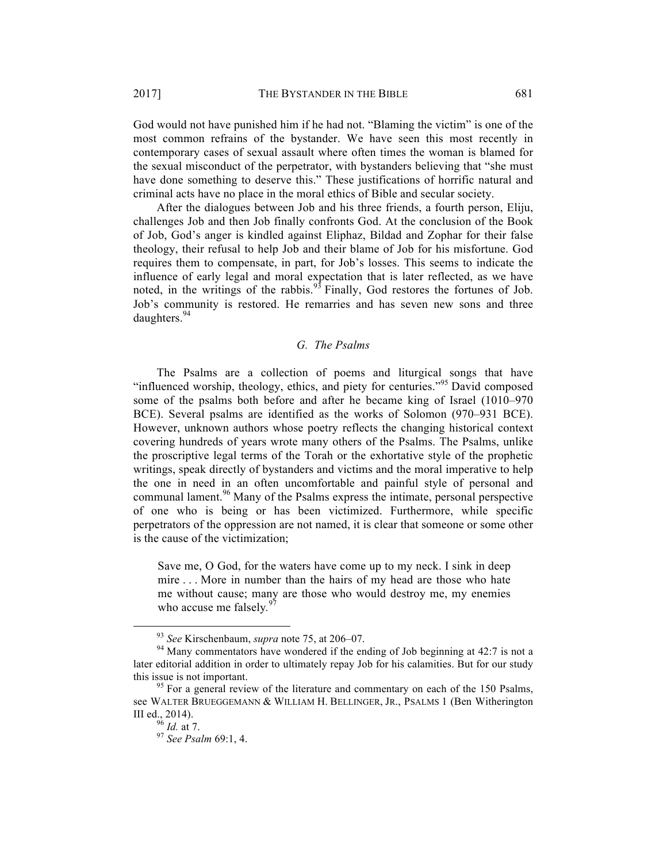God would not have punished him if he had not. "Blaming the victim" is one of the most common refrains of the bystander. We have seen this most recently in contemporary cases of sexual assault where often times the woman is blamed for the sexual misconduct of the perpetrator, with bystanders believing that "she must have done something to deserve this." These justifications of horrific natural and criminal acts have no place in the moral ethics of Bible and secular society.

After the dialogues between Job and his three friends, a fourth person, Eliju, challenges Job and then Job finally confronts God. At the conclusion of the Book of Job, God's anger is kindled against Eliphaz, Bildad and Zophar for their false theology, their refusal to help Job and their blame of Job for his misfortune. God requires them to compensate, in part, for Job's losses. This seems to indicate the influence of early legal and moral expectation that is later reflected, as we have noted, in the writings of the rabbis.<sup>93</sup> Finally, God restores the fortunes of Job. Job's community is restored. He remarries and has seven new sons and three daughters.<sup>94</sup>

# *G. The Psalms*

The Psalms are a collection of poems and liturgical songs that have "influenced worship, theology, ethics, and piety for centuries."<sup>95</sup> David composed some of the psalms both before and after he became king of Israel (1010–970 BCE). Several psalms are identified as the works of Solomon (970–931 BCE). However, unknown authors whose poetry reflects the changing historical context covering hundreds of years wrote many others of the Psalms. The Psalms, unlike the proscriptive legal terms of the Torah or the exhortative style of the prophetic writings, speak directly of bystanders and victims and the moral imperative to help the one in need in an often uncomfortable and painful style of personal and communal lament. <sup>96</sup> Many of the Psalms express the intimate, personal perspective of one who is being or has been victimized. Furthermore, while specific perpetrators of the oppression are not named, it is clear that someone or some other is the cause of the victimization;

Save me, O God, for the waters have come up to my neck. I sink in deep mire . . . More in number than the hairs of my head are those who hate me without cause; many are those who would destroy me, my enemies who accuse me falsely*.* 97

<sup>&</sup>lt;sup>93</sup> *See* Kirschenbaum, *supra* note 75, at 206–07.<br><sup>94</sup> Many commentators have wondered if the ending of Job beginning at 42:7 is not a later editorial addition in order to ultimately repay Job for his calamities. But for our study this issue is not important.<br><sup>95</sup> For a general review of the literature and commentary on each of the 150 Psalms,

see WALTER BRUEGGEMANN & WILLIAM H. BELLINGER, JR., PSALMS 1 (Ben Witherington III ed., 2014). <sup>96</sup> *Id.* at 7. <sup>97</sup> *See Psalm* 69:1, 4.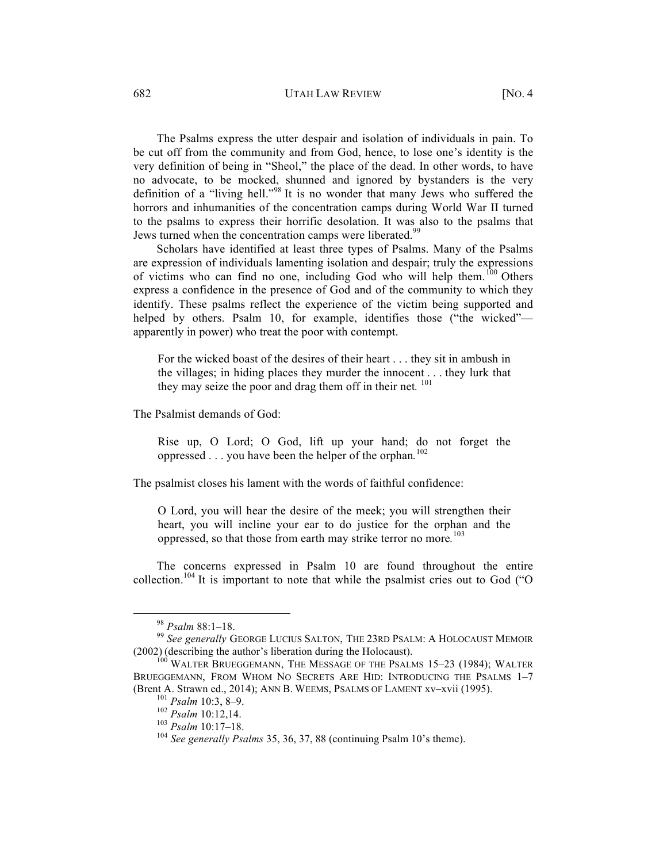# 682 UTAH LAW REVIEW [NO. 4]

The Psalms express the utter despair and isolation of individuals in pain. To be cut off from the community and from God, hence, to lose one's identity is the very definition of being in "Sheol," the place of the dead. In other words, to have no advocate, to be mocked, shunned and ignored by bystanders is the very definition of a "living hell."<sup>98</sup> It is no wonder that many Jews who suffered the horrors and inhumanities of the concentration camps during World War II turned to the psalms to express their horrific desolation. It was also to the psalms that Jews turned when the concentration camps were liberated.<sup>99</sup>

Scholars have identified at least three types of Psalms. Many of the Psalms are expression of individuals lamenting isolation and despair; truly the expressions of victims who can find no one, including God who will help them.<sup>100</sup> Others express a confidence in the presence of God and of the community to which they identify. These psalms reflect the experience of the victim being supported and helped by others. Psalm 10, for example, identifies those ("the wicked"apparently in power) who treat the poor with contempt.

For the wicked boast of the desires of their heart . . . they sit in ambush in the villages; in hiding places they murder the innocent . . . they lurk that they may seize the poor and drag them off in their net*.* <sup>101</sup>

The Psalmist demands of God:

Rise up, O Lord; O God, lift up your hand; do not forget the oppressed . . . you have been the helper of the orphan*.* 102

The psalmist closes his lament with the words of faithful confidence:

O Lord, you will hear the desire of the meek; you will strengthen their heart, you will incline your ear to do justice for the orphan and the oppressed, so that those from earth may strike terror no more*.* 103

The concerns expressed in Psalm 10 are found throughout the entire collection.<sup>104</sup> It is important to note that while the psalmist cries out to God ( $\degree$ O

<sup>&</sup>lt;sup>98</sup> *Psalm* 88:1–18.<br><sup>99</sup> *See generally* GEORGE LUCIUS SALTON, THE 23RD PSALM: A HOLOCAUST MEMOIR (2002) (describing the author's liberation during the Holocaust).

 $^{100}$  WALTER BRUEGGEMANN, THE MESSAGE OF THE PSALMS 15–23 (1984); WALTER BRUEGGEMANN, FROM WHOM NO SECRETS ARE HID: INTRODUCING THE PSALMS 1–7 (Brent A. Strawn ed., 2014); ANN B. WEEMS, PSALMS OF LAMENT xv-xvii (1995).<br>
<sup>101</sup> *Psalm* 10:3, 8–9.<br>
<sup>102</sup> *Psalm* 10:12,14.<br>
<sup>103</sup> *Psalm* 10:17–18.<br>
<sup>103</sup> *See generally Psalms* 35, 36, 37, 88 (continuing Psalm 10's t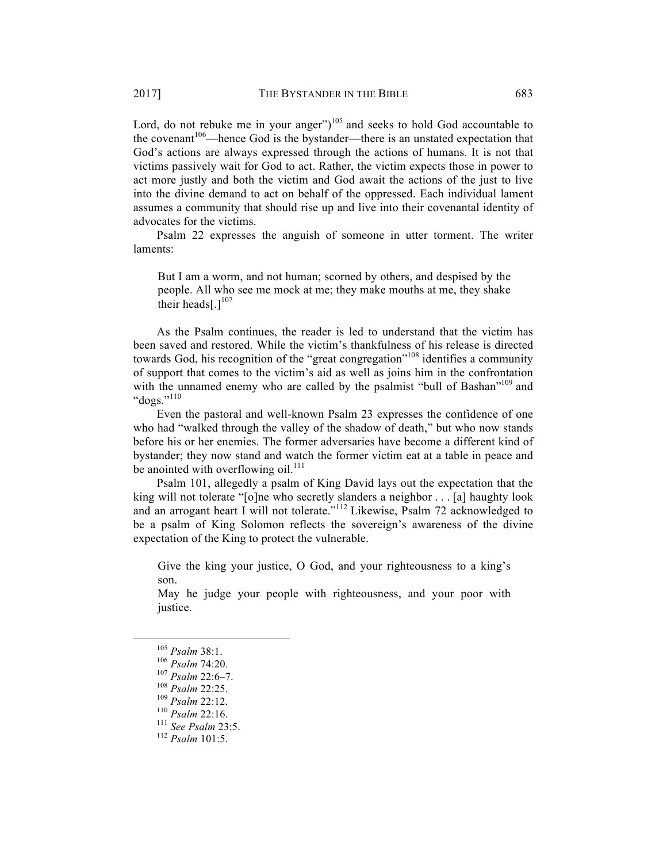Lord, do not rebuke me in your anger" $)^{105}$  and seeks to hold God accountable to the covenant<sup>106</sup>—hence God is the bystander—there is an unstated expectation that God's actions are always expressed through the actions of humans. It is not that victims passively wait for God to act. Rather, the victim expects those in power to act more justly and both the victim and God await the actions of the just to live into the divine demand to act on behalf of the oppressed. Each individual lament assumes a community that should rise up and live into their covenantal identity of advocates for the victims.

Psalm 22 expresses the anguish of someone in utter torment. The writer laments:

But I am a worm, and not human; scorned by others, and despised by the people. All who see me mock at me; they make mouths at me, they shake their heads[.] $107$ 

As the Psalm continues, the reader is led to understand that the victim has been saved and restored. While the victim's thankfulness of his release is directed towards God, his recognition of the "great congregation"<sup>108</sup> identifies a community of support that comes to the victim's aid as well as joins him in the confrontation with the unnamed enemy who are called by the psalmist "bull of Bashan"<sup>109</sup> and "dogs." 110

Even the pastoral and well-known Psalm 23 expresses the confidence of one who had "walked through the valley of the shadow of death," but who now stands before his or her enemies. The former adversaries have become a different kind of bystander; they now stand and watch the former victim eat at a table in peace and be anointed with overflowing oil. $^{111}$ 

Psalm 101, allegedly a psalm of King David lays out the expectation that the king will not tolerate "[o]ne who secretly slanders a neighbor . . . [a] haughty look and an arrogant heart I will not tolerate."<sup>112</sup> Likewise, Psalm 72 acknowledged to be a psalm of King Solomon reflects the sovereign's awareness of the divine expectation of the King to protect the vulnerable.

Give the king your justice, O God, and your righteousness to a king's son.

May he judge your people with righteousness, and your poor with justice.

 <sup>105</sup> *Psalm* 38:1. <sup>106</sup> *Psalm* 74:20. <sup>107</sup> *Psalm* 22:6–7. <sup>108</sup> *Psalm* 22:25. <sup>109</sup> *Psalm* 22:12. <sup>110</sup> *Psalm* 22:16. <sup>111</sup> *See Psalm* 23:5. <sup>112</sup> *Psalm* 101:5.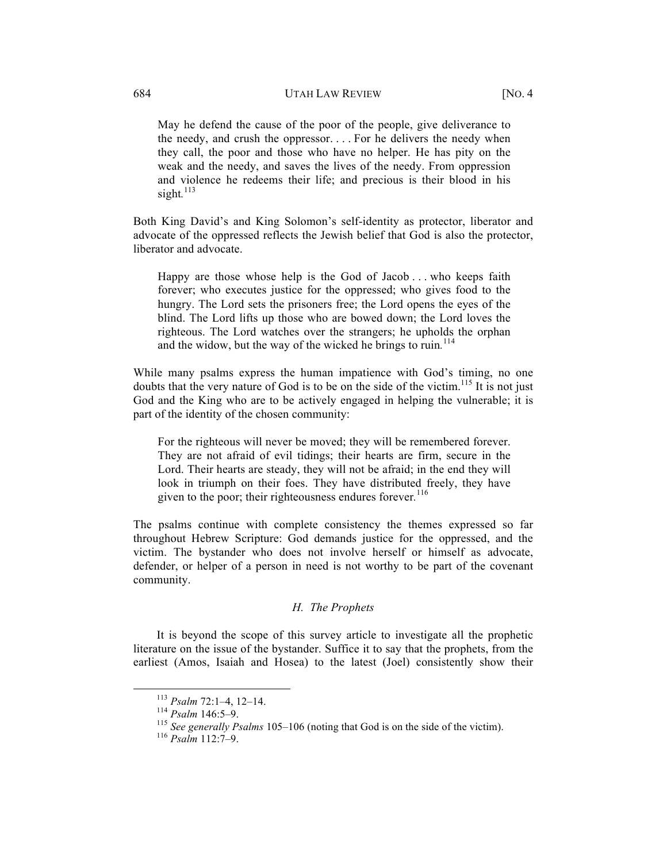May he defend the cause of the poor of the people, give deliverance to the needy, and crush the oppressor. . . . For he delivers the needy when they call, the poor and those who have no helper. He has pity on the weak and the needy, and saves the lives of the needy. From oppression and violence he redeems their life; and precious is their blood in his sight.<sup>113</sup>

Both King David's and King Solomon's self-identity as protector, liberator and advocate of the oppressed reflects the Jewish belief that God is also the protector, liberator and advocate.

Happy are those whose help is the God of Jacob ... who keeps faith forever; who executes justice for the oppressed; who gives food to the hungry. The Lord sets the prisoners free; the Lord opens the eyes of the blind. The Lord lifts up those who are bowed down; the Lord loves the righteous. The Lord watches over the strangers; he upholds the orphan and the widow, but the way of the wicked he brings to ruin*.* 114

While many psalms express the human impatience with God's timing, no one doubts that the very nature of God is to be on the side of the victim.<sup>115</sup> It is not just God and the King who are to be actively engaged in helping the vulnerable; it is part of the identity of the chosen community:

For the righteous will never be moved; they will be remembered forever. They are not afraid of evil tidings; their hearts are firm, secure in the Lord. Their hearts are steady, they will not be afraid; in the end they will look in triumph on their foes. They have distributed freely, they have given to the poor; their righteousness endures forever*.* 116

The psalms continue with complete consistency the themes expressed so far throughout Hebrew Scripture: God demands justice for the oppressed, and the victim. The bystander who does not involve herself or himself as advocate, defender, or helper of a person in need is not worthy to be part of the covenant community.

# *H. The Prophets*

It is beyond the scope of this survey article to investigate all the prophetic literature on the issue of the bystander. Suffice it to say that the prophets, from the earliest (Amos, Isaiah and Hosea) to the latest (Joel) consistently show their

 <sup>113</sup> *Psalm* 72:1–4, 12–14. <sup>114</sup> *Psalm* 146:5–9. <sup>115</sup> *See generally Psalms* 105–106 (noting that God is on the side of the victim). <sup>116</sup> *Psalm* 112:7–9.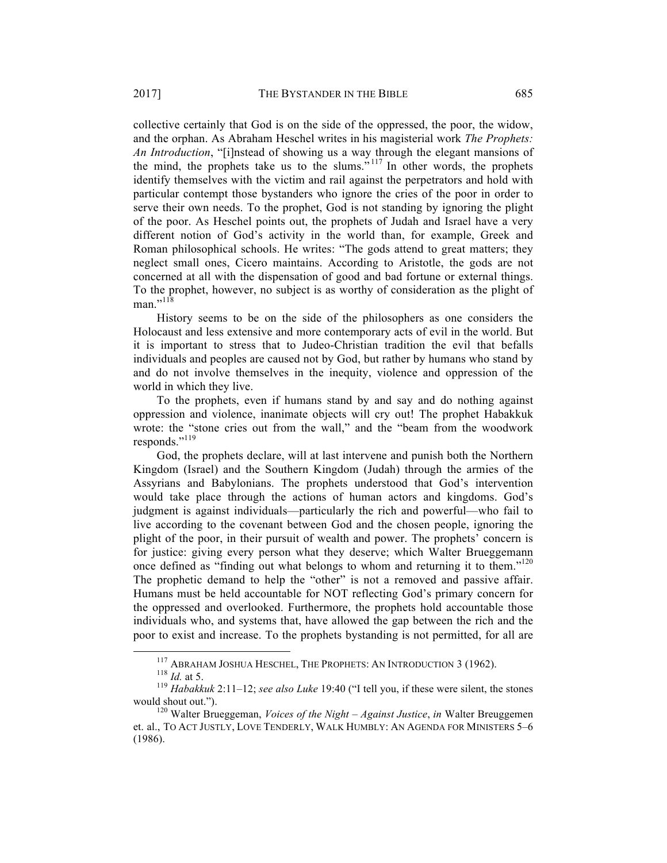collective certainly that God is on the side of the oppressed, the poor, the widow, and the orphan. As Abraham Heschel writes in his magisterial work *The Prophets: An Introduction*, "[i]nstead of showing us a way through the elegant mansions of the mind, the prophets take us to the slums.<sup> $5117$ </sup> In other words, the prophets identify themselves with the victim and rail against the perpetrators and hold with particular contempt those bystanders who ignore the cries of the poor in order to serve their own needs. To the prophet, God is not standing by ignoring the plight of the poor. As Heschel points out, the prophets of Judah and Israel have a very different notion of God's activity in the world than, for example, Greek and Roman philosophical schools. He writes: "The gods attend to great matters; they neglect small ones, Cicero maintains. According to Aristotle, the gods are not concerned at all with the dispensation of good and bad fortune or external things. To the prophet, however, no subject is as worthy of consideration as the plight of man." $118$ 

History seems to be on the side of the philosophers as one considers the Holocaust and less extensive and more contemporary acts of evil in the world. But it is important to stress that to Judeo-Christian tradition the evil that befalls individuals and peoples are caused not by God, but rather by humans who stand by and do not involve themselves in the inequity, violence and oppression of the world in which they live.

To the prophets, even if humans stand by and say and do nothing against oppression and violence, inanimate objects will cry out! The prophet Habakkuk wrote: the "stone cries out from the wall," and the "beam from the woodwork responds."<sup>119</sup>

God, the prophets declare, will at last intervene and punish both the Northern Kingdom (Israel) and the Southern Kingdom (Judah) through the armies of the Assyrians and Babylonians. The prophets understood that God's intervention would take place through the actions of human actors and kingdoms. God's judgment is against individuals—particularly the rich and powerful—who fail to live according to the covenant between God and the chosen people, ignoring the plight of the poor, in their pursuit of wealth and power. The prophets' concern is for justice: giving every person what they deserve; which Walter Brueggemann once defined as "finding out what belongs to whom and returning it to them."<sup>120</sup> The prophetic demand to help the "other" is not a removed and passive affair. Humans must be held accountable for NOT reflecting God's primary concern for the oppressed and overlooked. Furthermore, the prophets hold accountable those individuals who, and systems that, have allowed the gap between the rich and the poor to exist and increase. To the prophets bystanding is not permitted, for all are

<sup>&</sup>lt;sup>117</sup> ABRAHAM JOSHUA HESCHEL, THE PROPHETS: AN INTRODUCTION 3 (1962).<br><sup>118</sup> *Id.* at 5. 119 *Habakkuk* 2:11–12; *see also Luke* 19:40 ("I tell you, if these were silent, the stones would shout out.").<br><sup>120</sup> Walter Brueggeman, *Voices of the Night – Against Justice*, *in* Walter Breuggemen

et. al., TO ACT JUSTLY, LOVE TENDERLY, WALK HUMBLY: AN AGENDA FOR MINISTERS 5–6 (1986).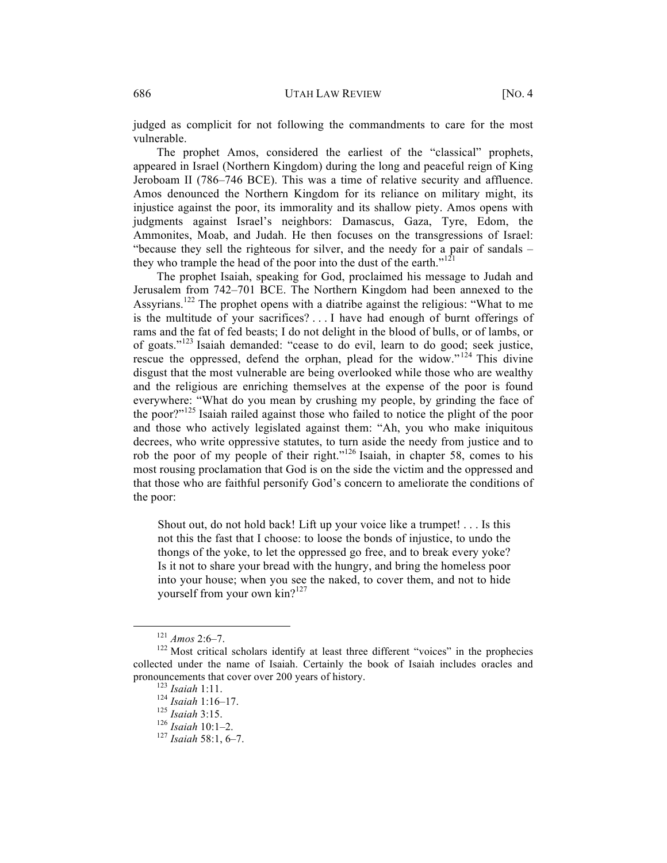judged as complicit for not following the commandments to care for the most vulnerable.

The prophet Amos, considered the earliest of the "classical" prophets, appeared in Israel (Northern Kingdom) during the long and peaceful reign of King Jeroboam II (786–746 BCE). This was a time of relative security and affluence. Amos denounced the Northern Kingdom for its reliance on military might, its injustice against the poor, its immorality and its shallow piety. Amos opens with judgments against Israel's neighbors: Damascus, Gaza, Tyre, Edom, the Ammonites, Moab, and Judah. He then focuses on the transgressions of Israel: "because they sell the righteous for silver, and the needy for a pair of sandals – they who trample the head of the poor into the dust of the earth." $121$ 

The prophet Isaiah, speaking for God, proclaimed his message to Judah and Jerusalem from 742–701 BCE. The Northern Kingdom had been annexed to the Assyrians.<sup>122</sup> The prophet opens with a diatribe against the religious: "What to me is the multitude of your sacrifices? . . . I have had enough of burnt offerings of rams and the fat of fed beasts; I do not delight in the blood of bulls, or of lambs, or of goats."<sup>123</sup> Isaiah demanded: "cease to do evil, learn to do good; seek justice, rescue the oppressed, defend the orphan, plead for the widow."<sup>124</sup> This divine disgust that the most vulnerable are being overlooked while those who are wealthy and the religious are enriching themselves at the expense of the poor is found everywhere: "What do you mean by crushing my people, by grinding the face of the poor?"<sup>125</sup> Isaiah railed against those who failed to notice the plight of the poor and those who actively legislated against them: "Ah, you who make iniquitous decrees, who write oppressive statutes, to turn aside the needy from justice and to rob the poor of my people of their right."<sup>126</sup> Isaiah, in chapter 58, comes to his most rousing proclamation that God is on the side the victim and the oppressed and that those who are faithful personify God's concern to ameliorate the conditions of the poor:

Shout out, do not hold back! Lift up your voice like a trumpet! . . . Is this not this the fast that I choose: to loose the bonds of injustice, to undo the thongs of the yoke, to let the oppressed go free, and to break every yoke? Is it not to share your bread with the hungry, and bring the homeless poor into your house; when you see the naked, to cover them, and not to hide yourself from your own kin?<sup>127</sup>

<sup>&</sup>lt;sup>121</sup> *Amos* 2:6–7.<br><sup>122</sup> Most critical scholars identify at least three different "voices" in the prophecies collected under the name of Isaiah. Certainly the book of Isaiah includes oracles and pronouncements that cover over 200 years of history. 123 *Isaiah* 1:11. <sup>124</sup> *Isaiah* 1:16–17. <sup>125</sup> *Isaiah* 3:15. <sup>126</sup> *Isaiah* 10:1–2. <sup>127</sup> *Isaiah* 58:1, 6–7.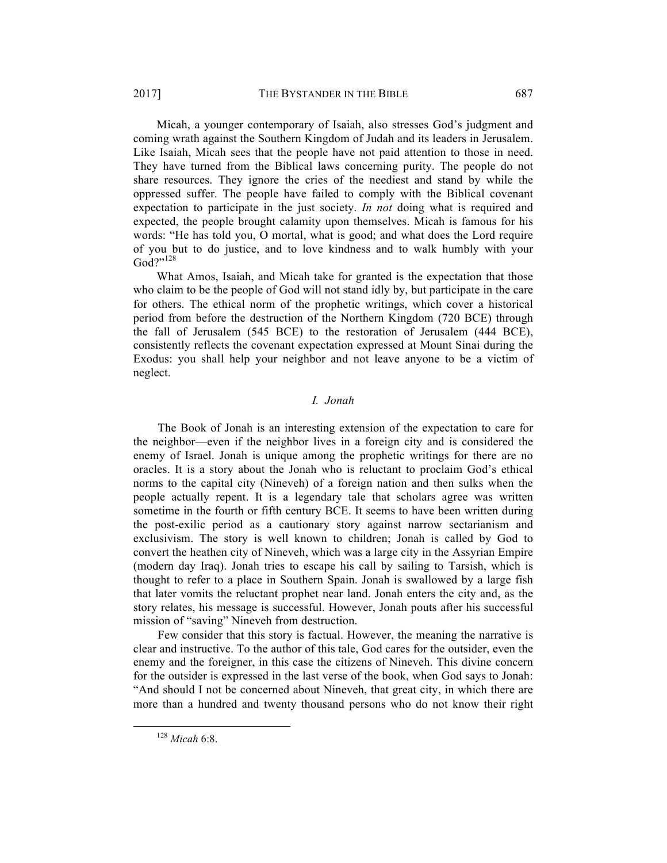Micah, a younger contemporary of Isaiah, also stresses God's judgment and coming wrath against the Southern Kingdom of Judah and its leaders in Jerusalem. Like Isaiah, Micah sees that the people have not paid attention to those in need. They have turned from the Biblical laws concerning purity. The people do not share resources. They ignore the cries of the neediest and stand by while the oppressed suffer. The people have failed to comply with the Biblical covenant expectation to participate in the just society. *In not* doing what is required and expected, the people brought calamity upon themselves. Micah is famous for his words: "He has told you, O mortal, what is good; and what does the Lord require of you but to do justice, and to love kindness and to walk humbly with your God?"128

What Amos, Isaiah, and Micah take for granted is the expectation that those who claim to be the people of God will not stand idly by, but participate in the care for others. The ethical norm of the prophetic writings, which cover a historical period from before the destruction of the Northern Kingdom (720 BCE) through the fall of Jerusalem (545 BCE) to the restoration of Jerusalem (444 BCE), consistently reflects the covenant expectation expressed at Mount Sinai during the Exodus: you shall help your neighbor and not leave anyone to be a victim of neglect.

# *I. Jonah*

The Book of Jonah is an interesting extension of the expectation to care for the neighbor—even if the neighbor lives in a foreign city and is considered the enemy of Israel. Jonah is unique among the prophetic writings for there are no oracles. It is a story about the Jonah who is reluctant to proclaim God's ethical norms to the capital city (Nineveh) of a foreign nation and then sulks when the people actually repent. It is a legendary tale that scholars agree was written sometime in the fourth or fifth century BCE. It seems to have been written during the post-exilic period as a cautionary story against narrow sectarianism and exclusivism. The story is well known to children; Jonah is called by God to convert the heathen city of Nineveh, which was a large city in the Assyrian Empire (modern day Iraq). Jonah tries to escape his call by sailing to Tarsish, which is thought to refer to a place in Southern Spain. Jonah is swallowed by a large fish that later vomits the reluctant prophet near land. Jonah enters the city and, as the story relates, his message is successful. However, Jonah pouts after his successful mission of "saving" Nineveh from destruction.

Few consider that this story is factual. However, the meaning the narrative is clear and instructive. To the author of this tale, God cares for the outsider, even the enemy and the foreigner, in this case the citizens of Nineveh. This divine concern for the outsider is expressed in the last verse of the book, when God says to Jonah: "And should I not be concerned about Nineveh, that great city, in which there are more than a hundred and twenty thousand persons who do not know their right

 <sup>128</sup> *Micah* 6:8.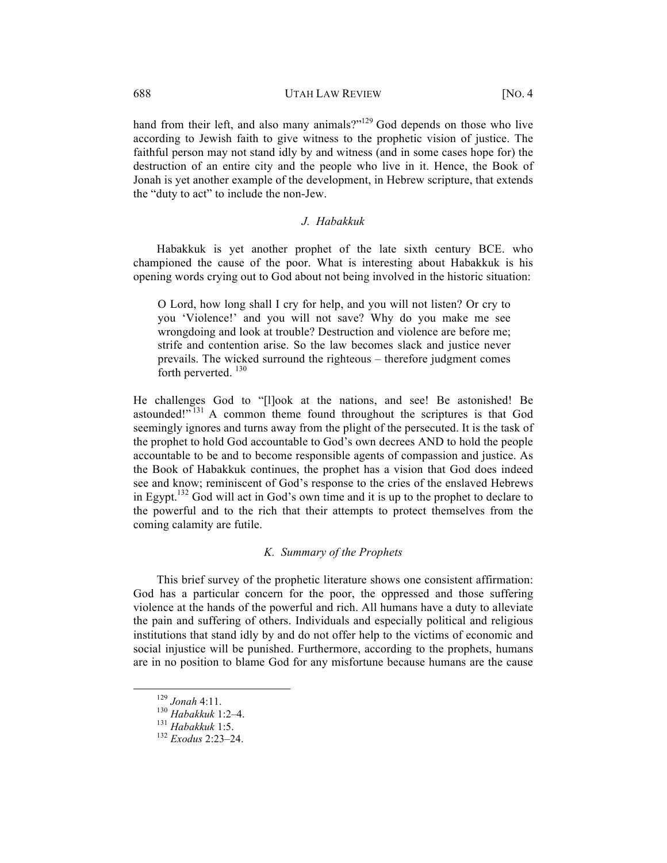# 688 UTAH LAW REVIEW [NO. 4

hand from their left, and also many animals?"<sup>129</sup> God depends on those who live according to Jewish faith to give witness to the prophetic vision of justice. The faithful person may not stand idly by and witness (and in some cases hope for) the destruction of an entire city and the people who live in it. Hence, the Book of Jonah is yet another example of the development, in Hebrew scripture, that extends the "duty to act" to include the non-Jew.

# *J. Habakkuk*

Habakkuk is yet another prophet of the late sixth century BCE. who championed the cause of the poor. What is interesting about Habakkuk is his opening words crying out to God about not being involved in the historic situation:

O Lord, how long shall I cry for help, and you will not listen? Or cry to you 'Violence!' and you will not save? Why do you make me see wrongdoing and look at trouble? Destruction and violence are before me; strife and contention arise. So the law becomes slack and justice never prevails. The wicked surround the righteous – therefore judgment comes forth perverted.  $130$ 

He challenges God to "[l]ook at the nations, and see! Be astonished! Be astounded!"<sup>131</sup> A common theme found throughout the scriptures is that God seemingly ignores and turns away from the plight of the persecuted. It is the task of the prophet to hold God accountable to God's own decrees AND to hold the people accountable to be and to become responsible agents of compassion and justice. As the Book of Habakkuk continues, the prophet has a vision that God does indeed see and know; reminiscent of God's response to the cries of the enslaved Hebrews in Egypt.<sup>132</sup> God will act in God's own time and it is up to the prophet to declare to the powerful and to the rich that their attempts to protect themselves from the coming calamity are futile.

# *K. Summary of the Prophets*

This brief survey of the prophetic literature shows one consistent affirmation: God has a particular concern for the poor, the oppressed and those suffering violence at the hands of the powerful and rich. All humans have a duty to alleviate the pain and suffering of others. Individuals and especially political and religious institutions that stand idly by and do not offer help to the victims of economic and social injustice will be punished. Furthermore, according to the prophets, humans are in no position to blame God for any misfortune because humans are the cause

 <sup>129</sup> *Jonah* 4:11. <sup>130</sup> *Habakkuk* 1:2–4. <sup>131</sup> *Habakkuk* 1:5. <sup>132</sup> *Exodus* 2:23–24.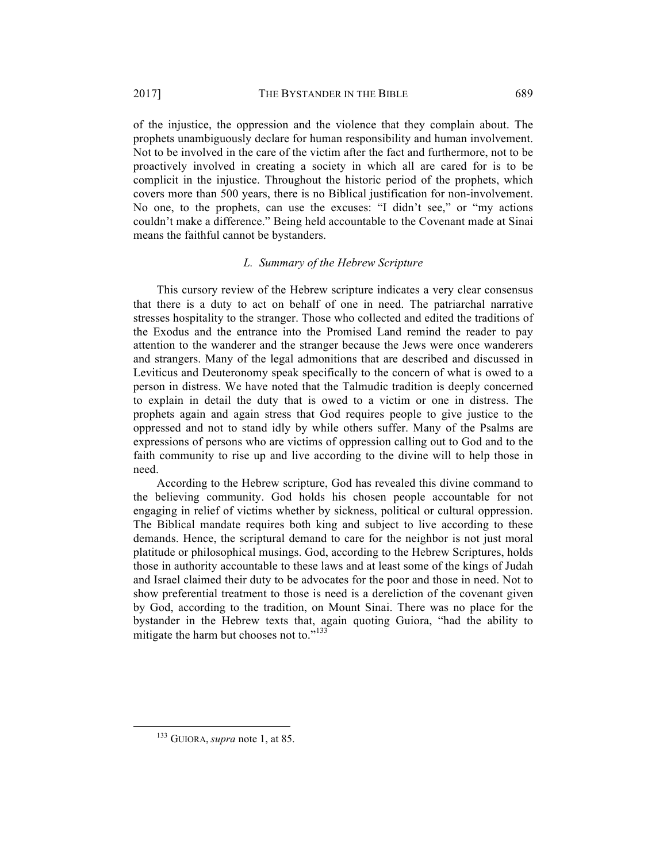of the injustice, the oppression and the violence that they complain about. The prophets unambiguously declare for human responsibility and human involvement. Not to be involved in the care of the victim after the fact and furthermore, not to be proactively involved in creating a society in which all are cared for is to be complicit in the injustice. Throughout the historic period of the prophets, which covers more than 500 years, there is no Biblical justification for non-involvement. No one, to the prophets, can use the excuses: "I didn't see," or "my actions couldn't make a difference." Being held accountable to the Covenant made at Sinai means the faithful cannot be bystanders.

# *L. Summary of the Hebrew Scripture*

This cursory review of the Hebrew scripture indicates a very clear consensus that there is a duty to act on behalf of one in need. The patriarchal narrative stresses hospitality to the stranger. Those who collected and edited the traditions of the Exodus and the entrance into the Promised Land remind the reader to pay attention to the wanderer and the stranger because the Jews were once wanderers and strangers. Many of the legal admonitions that are described and discussed in Leviticus and Deuteronomy speak specifically to the concern of what is owed to a person in distress. We have noted that the Talmudic tradition is deeply concerned to explain in detail the duty that is owed to a victim or one in distress. The prophets again and again stress that God requires people to give justice to the oppressed and not to stand idly by while others suffer. Many of the Psalms are expressions of persons who are victims of oppression calling out to God and to the faith community to rise up and live according to the divine will to help those in need.

According to the Hebrew scripture, God has revealed this divine command to the believing community. God holds his chosen people accountable for not engaging in relief of victims whether by sickness, political or cultural oppression. The Biblical mandate requires both king and subject to live according to these demands. Hence, the scriptural demand to care for the neighbor is not just moral platitude or philosophical musings. God, according to the Hebrew Scriptures, holds those in authority accountable to these laws and at least some of the kings of Judah and Israel claimed their duty to be advocates for the poor and those in need. Not to show preferential treatment to those is need is a dereliction of the covenant given by God, according to the tradition, on Mount Sinai. There was no place for the bystander in the Hebrew texts that, again quoting Guiora, "had the ability to mitigate the harm but chooses not to."<sup>133</sup>

 <sup>133</sup> GUIORA, *supra* note 1, at 85.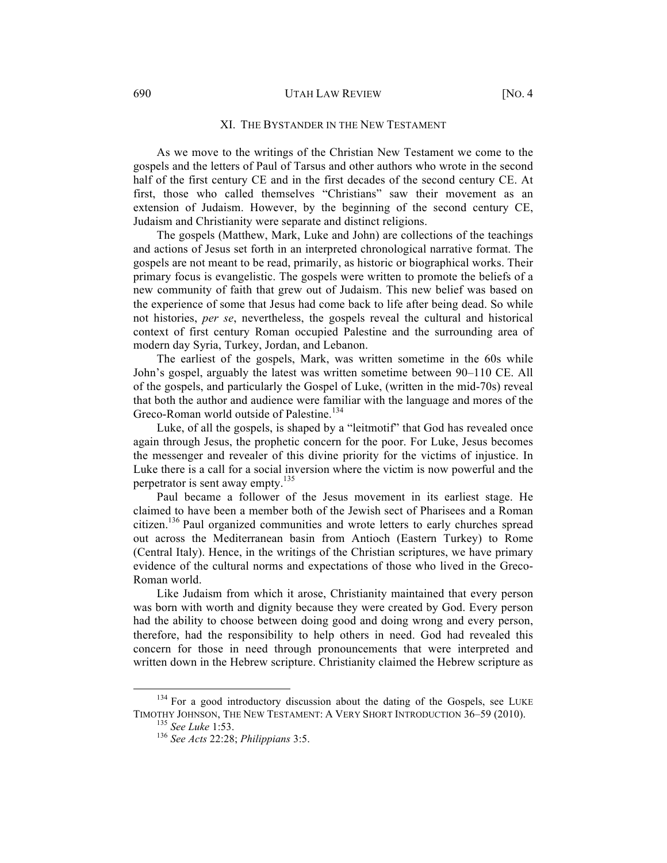#### 690 UTAH LAW REVIEW [NO. 4

#### XI. THE BYSTANDER IN THE NEW TESTAMENT

As we move to the writings of the Christian New Testament we come to the gospels and the letters of Paul of Tarsus and other authors who wrote in the second half of the first century CE and in the first decades of the second century CE. At first, those who called themselves "Christians" saw their movement as an extension of Judaism. However, by the beginning of the second century CE, Judaism and Christianity were separate and distinct religions.

The gospels (Matthew, Mark, Luke and John) are collections of the teachings and actions of Jesus set forth in an interpreted chronological narrative format. The gospels are not meant to be read, primarily, as historic or biographical works. Their primary focus is evangelistic. The gospels were written to promote the beliefs of a new community of faith that grew out of Judaism. This new belief was based on the experience of some that Jesus had come back to life after being dead. So while not histories, *per se*, nevertheless, the gospels reveal the cultural and historical context of first century Roman occupied Palestine and the surrounding area of modern day Syria, Turkey, Jordan, and Lebanon.

The earliest of the gospels, Mark, was written sometime in the 60s while John's gospel, arguably the latest was written sometime between 90–110 CE. All of the gospels, and particularly the Gospel of Luke, (written in the mid-70s) reveal that both the author and audience were familiar with the language and mores of the Greco-Roman world outside of Palestine.<sup>134</sup>

Luke, of all the gospels, is shaped by a "leitmotif" that God has revealed once again through Jesus, the prophetic concern for the poor. For Luke, Jesus becomes the messenger and revealer of this divine priority for the victims of injustice. In Luke there is a call for a social inversion where the victim is now powerful and the perpetrator is sent away empty.<sup>135</sup>

Paul became a follower of the Jesus movement in its earliest stage. He claimed to have been a member both of the Jewish sect of Pharisees and a Roman citizen.<sup>136</sup> Paul organized communities and wrote letters to early churches spread out across the Mediterranean basin from Antioch (Eastern Turkey) to Rome (Central Italy). Hence, in the writings of the Christian scriptures, we have primary evidence of the cultural norms and expectations of those who lived in the Greco-Roman world.

Like Judaism from which it arose, Christianity maintained that every person was born with worth and dignity because they were created by God. Every person had the ability to choose between doing good and doing wrong and every person, therefore, had the responsibility to help others in need. God had revealed this concern for those in need through pronouncements that were interpreted and written down in the Hebrew scripture. Christianity claimed the Hebrew scripture as

<sup>&</sup>lt;sup>134</sup> For a good introductory discussion about the dating of the Gospels, see LUKE TIMOTHY JOHNSON, THE NEW TESTAMENT: <sup>A</sup> VERY SHORT INTRODUCTION 36–59 (2010). <sup>135</sup> *See Luke* 1:53. <sup>136</sup> *See Acts* 22:28; *Philippians* 3:5.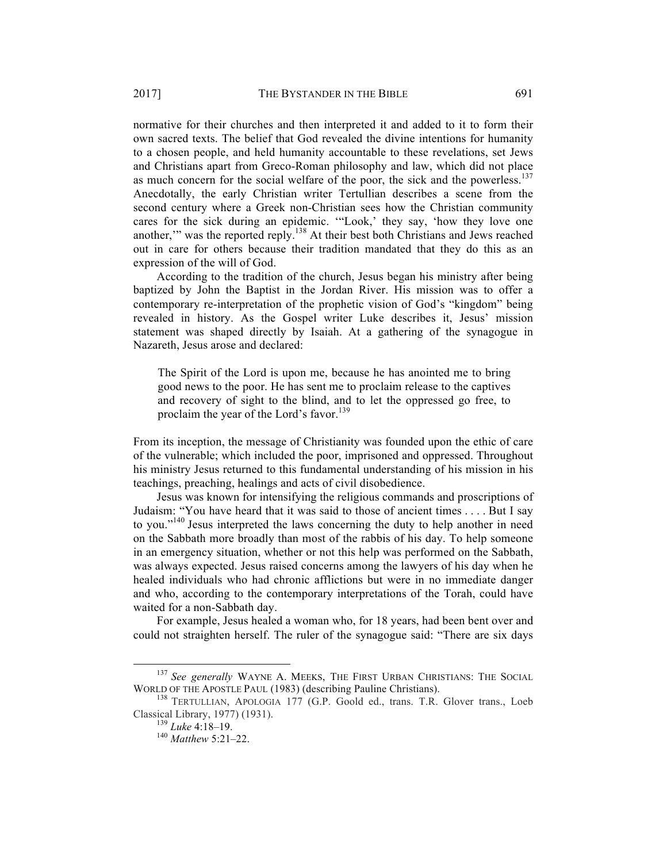normative for their churches and then interpreted it and added to it to form their own sacred texts. The belief that God revealed the divine intentions for humanity to a chosen people, and held humanity accountable to these revelations, set Jews and Christians apart from Greco-Roman philosophy and law, which did not place as much concern for the social welfare of the poor, the sick and the powerless.<sup>137</sup> Anecdotally, the early Christian writer Tertullian describes a scene from the second century where a Greek non-Christian sees how the Christian community cares for the sick during an epidemic. '"Look,' they say, 'how they love one another," was the reported reply.<sup>138</sup> At their best both Christians and Jews reached out in care for others because their tradition mandated that they do this as an expression of the will of God.

According to the tradition of the church, Jesus began his ministry after being baptized by John the Baptist in the Jordan River. His mission was to offer a contemporary re-interpretation of the prophetic vision of God's "kingdom" being revealed in history. As the Gospel writer Luke describes it, Jesus' mission statement was shaped directly by Isaiah. At a gathering of the synagogue in Nazareth, Jesus arose and declared:

The Spirit of the Lord is upon me, because he has anointed me to bring good news to the poor. He has sent me to proclaim release to the captives and recovery of sight to the blind, and to let the oppressed go free, to proclaim the year of the Lord's favor.<sup>139</sup>

From its inception, the message of Christianity was founded upon the ethic of care of the vulnerable; which included the poor, imprisoned and oppressed. Throughout his ministry Jesus returned to this fundamental understanding of his mission in his teachings, preaching, healings and acts of civil disobedience.

Jesus was known for intensifying the religious commands and proscriptions of Judaism: "You have heard that it was said to those of ancient times . . . . But I say to you."<sup>140</sup> Jesus interpreted the laws concerning the duty to help another in need on the Sabbath more broadly than most of the rabbis of his day. To help someone in an emergency situation, whether or not this help was performed on the Sabbath, was always expected. Jesus raised concerns among the lawyers of his day when he healed individuals who had chronic afflictions but were in no immediate danger and who, according to the contemporary interpretations of the Torah, could have waited for a non-Sabbath day.

For example, Jesus healed a woman who, for 18 years, had been bent over and could not straighten herself. The ruler of the synagogue said: "There are six days

 <sup>137</sup> *See generally* WAYNE A. MEEKS, THE FIRST URBAN CHRISTIANS: THE SOCIAL WORLD OF THE APOSTLE PAUL (1983) (describing Pauline Christians). <sup>138</sup> TERTULLIAN, APOLOGIA <sup>177</sup> (G.P. Goold ed., trans. T.R. Glover trans., Loeb

Classical Library, 1977) (1931). <sup>139</sup> *Luke* 4:18–19. <sup>140</sup> *Matthew* 5:21–22.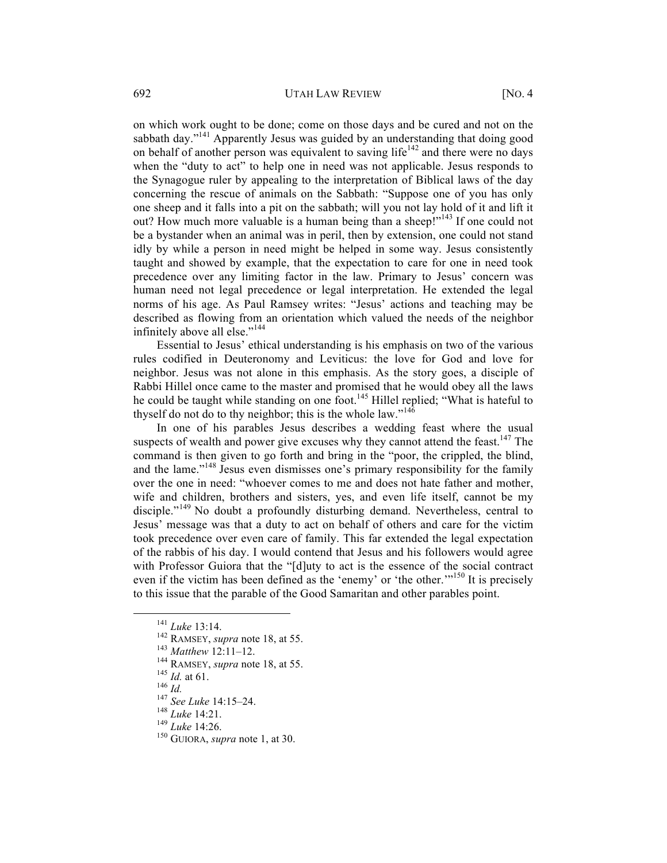on which work ought to be done; come on those days and be cured and not on the sabbath day."<sup>141</sup> Apparently Jesus was guided by an understanding that doing good on behalf of another person was equivalent to saving life<sup>142</sup> and there were no days when the "duty to act" to help one in need was not applicable. Jesus responds to the Synagogue ruler by appealing to the interpretation of Biblical laws of the day concerning the rescue of animals on the Sabbath: "Suppose one of you has only one sheep and it falls into a pit on the sabbath; will you not lay hold of it and lift it out? How much more valuable is a human being than a sheep!"<sup>143</sup> If one could not be a bystander when an animal was in peril, then by extension, one could not stand idly by while a person in need might be helped in some way. Jesus consistently taught and showed by example, that the expectation to care for one in need took precedence over any limiting factor in the law. Primary to Jesus' concern was human need not legal precedence or legal interpretation. He extended the legal norms of his age. As Paul Ramsey writes: "Jesus' actions and teaching may be described as flowing from an orientation which valued the needs of the neighbor infinitely above all else."<sup>144</sup>

Essential to Jesus' ethical understanding is his emphasis on two of the various rules codified in Deuteronomy and Leviticus: the love for God and love for neighbor. Jesus was not alone in this emphasis. As the story goes, a disciple of Rabbi Hillel once came to the master and promised that he would obey all the laws he could be taught while standing on one foot.<sup>145</sup> Hillel replied; "What is hateful to thyself do not do to thy neighbor; this is the whole law."<sup>146</sup>

In one of his parables Jesus describes a wedding feast where the usual suspects of wealth and power give excuses why they cannot attend the feast.<sup>147</sup> The command is then given to go forth and bring in the "poor, the crippled, the blind, and the lame."<sup>148</sup> Jesus even dismisses one's primary responsibility for the family over the one in need: "whoever comes to me and does not hate father and mother, wife and children, brothers and sisters, yes, and even life itself, cannot be my disciple."<sup>149</sup> No doubt a profoundly disturbing demand. Nevertheless, central to Jesus' message was that a duty to act on behalf of others and care for the victim took precedence over even care of family. This far extended the legal expectation of the rabbis of his day. I would contend that Jesus and his followers would agree with Professor Guiora that the "[d]uty to act is the essence of the social contract even if the victim has been defined as the 'enemy' or 'the other.'<sup>150</sup> It is precisely to this issue that the parable of the Good Samaritan and other parables point.

<sup>141</sup> *Luke* 13:14.<br><sup>142</sup> RAMSEY, *supra* note 18, at 55.<br><sup>143</sup> *Matthew* 12:11–12.<br><sup>144</sup> RAMSEY, *supra* note 18, at 55.<br><sup>145</sup> *Id.* at 61.<br><sup>146</sup> *Id.*<br><sup>146</sup> *Id.*<br><sup>146</sup> *Id.*<br><sup>146</sup> *Id.*<br><sup>146</sup> *Id.*<br><sup>146</sup> *Id.*<br><sup>146</sup> *I*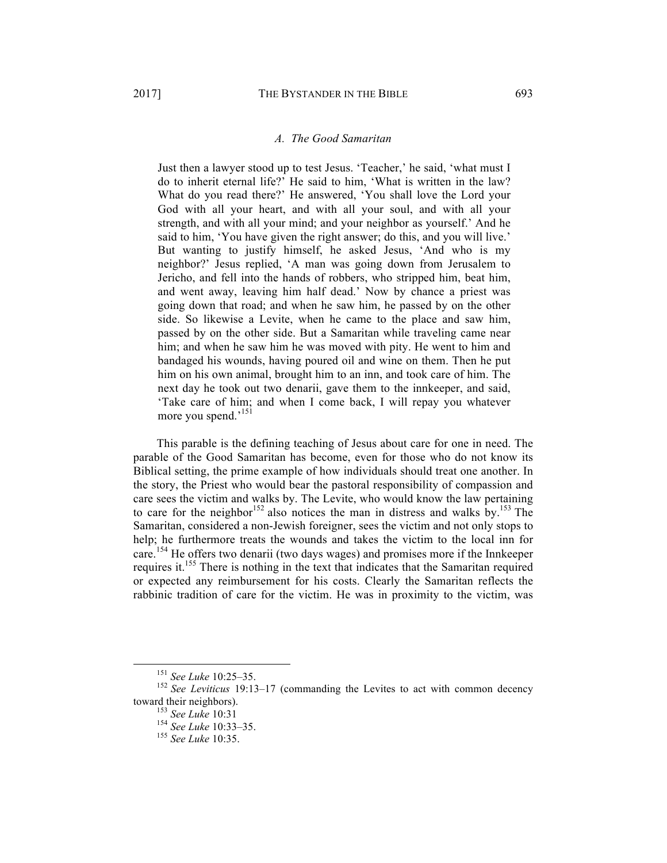#### *A. The Good Samaritan*

Just then a lawyer stood up to test Jesus. 'Teacher,' he said, 'what must I do to inherit eternal life?' He said to him, 'What is written in the law? What do you read there?' He answered, 'You shall love the Lord your God with all your heart, and with all your soul, and with all your strength, and with all your mind; and your neighbor as yourself.' And he said to him, 'You have given the right answer; do this, and you will live.' But wanting to justify himself, he asked Jesus, 'And who is my neighbor?' Jesus replied, 'A man was going down from Jerusalem to Jericho, and fell into the hands of robbers, who stripped him, beat him, and went away, leaving him half dead.' Now by chance a priest was going down that road; and when he saw him, he passed by on the other side. So likewise a Levite, when he came to the place and saw him, passed by on the other side. But a Samaritan while traveling came near him; and when he saw him he was moved with pity. He went to him and bandaged his wounds, having poured oil and wine on them. Then he put him on his own animal, brought him to an inn, and took care of him. The next day he took out two denarii, gave them to the innkeeper, and said, 'Take care of him; and when I come back, I will repay you whatever more you spend.'<sup>151</sup>

This parable is the defining teaching of Jesus about care for one in need. The parable of the Good Samaritan has become, even for those who do not know its Biblical setting, the prime example of how individuals should treat one another. In the story, the Priest who would bear the pastoral responsibility of compassion and care sees the victim and walks by. The Levite, who would know the law pertaining to care for the neighbor<sup>152</sup> also notices the man in distress and walks by.<sup>153</sup> The Samaritan, considered a non-Jewish foreigner, sees the victim and not only stops to help; he furthermore treats the wounds and takes the victim to the local inn for care.<sup>154</sup> He offers two denarii (two days wages) and promises more if the Innkeeper requires it.155 There is nothing in the text that indicates that the Samaritan required or expected any reimbursement for his costs. Clearly the Samaritan reflects the rabbinic tradition of care for the victim. He was in proximity to the victim, was

<sup>&</sup>lt;sup>151</sup> See Luke 10:25–35.<br><sup>152</sup> See Leviticus 19:13–17 (commanding the Levites to act with common decency toward their neighbors).

<sup>153</sup> *See Luke* 10:31<br><sup>154</sup> *See Luke* 10:33–35.<br><sup>155</sup> *See Luke* 10:35.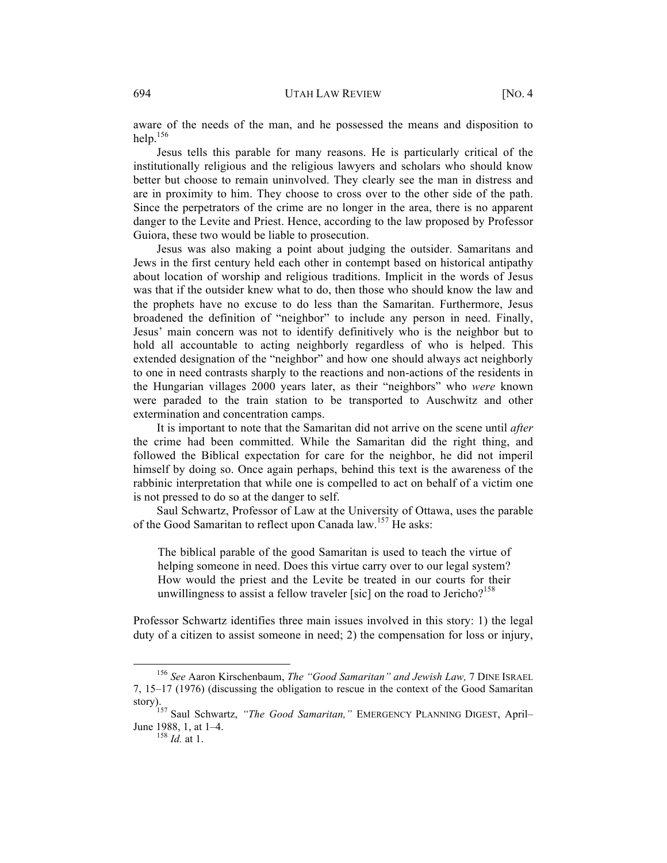aware of the needs of the man, and he possessed the means and disposition to help. $156$ 

Jesus tells this parable for many reasons. He is particularly critical of the institutionally religious and the religious lawyers and scholars who should know better but choose to remain uninvolved. They clearly see the man in distress and are in proximity to him. They choose to cross over to the other side of the path. Since the perpetrators of the crime are no longer in the area, there is no apparent danger to the Levite and Priest. Hence, according to the law proposed by Professor Guiora, these two would be liable to prosecution.

Jesus was also making a point about judging the outsider. Samaritans and Jews in the first century held each other in contempt based on historical antipathy about location of worship and religious traditions. Implicit in the words of Jesus was that if the outsider knew what to do, then those who should know the law and the prophets have no excuse to do less than the Samaritan. Furthermore, Jesus broadened the definition of "neighbor" to include any person in need. Finally, Jesus' main concern was not to identify definitively who is the neighbor but to hold all accountable to acting neighborly regardless of who is helped. This extended designation of the "neighbor" and how one should always act neighborly to one in need contrasts sharply to the reactions and non-actions of the residents in the Hungarian villages 2000 years later, as their "neighbors" who *were* known were paraded to the train station to be transported to Auschwitz and other extermination and concentration camps.

It is important to note that the Samaritan did not arrive on the scene until *after* the crime had been committed. While the Samaritan did the right thing, and followed the Biblical expectation for care for the neighbor, he did not imperil himself by doing so. Once again perhaps, behind this text is the awareness of the rabbinic interpretation that while one is compelled to act on behalf of a victim one is not pressed to do so at the danger to self.

Saul Schwartz, Professor of Law at the University of Ottawa, uses the parable of the Good Samaritan to reflect upon Canada law.<sup>157</sup> He asks:

The biblical parable of the good Samaritan is used to teach the virtue of helping someone in need. Does this virtue carry over to our legal system? How would the priest and the Levite be treated in our courts for their unwillingness to assist a fellow traveler [sic] on the road to Jericho?<sup>158</sup>

Professor Schwartz identifies three main issues involved in this story: 1) the legal duty of a citizen to assist someone in need; 2) the compensation for loss or injury,

 <sup>156</sup> *See* Aaron Kirschenbaum, *The "Good Samaritan" and Jewish Law,* 7 DINE ISRAEL 7, 15–17 (1976) (discussing the obligation to rescue in the context of the Good Samaritan

story).<br><sup>157</sup> Saul Schwartz, *"The Good Samaritan,"* EMERGENCY PLANNING DIGEST, April– June 1988, 1, at 1–4. 158 *Id.* at 1.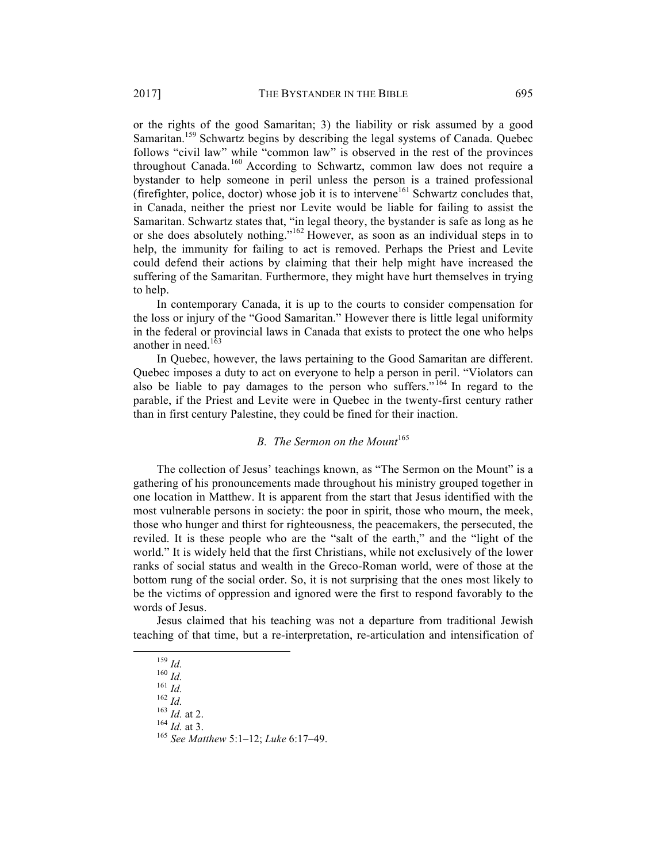or the rights of the good Samaritan; 3) the liability or risk assumed by a good Samaritan.<sup>159</sup> Schwartz begins by describing the legal systems of Canada. Quebec follows "civil law" while "common law" is observed in the rest of the provinces throughout Canada.<sup>160</sup> According to Schwartz, common law does not require a bystander to help someone in peril unless the person is a trained professional (firefighter, police, doctor) whose job it is to intervene<sup>161</sup> Schwartz concludes that, in Canada, neither the priest nor Levite would be liable for failing to assist the Samaritan. Schwartz states that, "in legal theory, the bystander is safe as long as he or she does absolutely nothing."<sup>162</sup> However, as soon as an individual steps in to help, the immunity for failing to act is removed. Perhaps the Priest and Levite could defend their actions by claiming that their help might have increased the suffering of the Samaritan. Furthermore, they might have hurt themselves in trying to help.

In contemporary Canada, it is up to the courts to consider compensation for the loss or injury of the "Good Samaritan." However there is little legal uniformity in the federal or provincial laws in Canada that exists to protect the one who helps another in need. $16$ 

In Quebec, however, the laws pertaining to the Good Samaritan are different. Quebec imposes a duty to act on everyone to help a person in peril. "Violators can also be liable to pay damages to the person who suffers."<sup>164</sup> In regard to the parable, if the Priest and Levite were in Quebec in the twenty-first century rather than in first century Palestine, they could be fined for their inaction.

# *B. The Sermon on the Mount*<sup>165</sup>

The collection of Jesus' teachings known, as "The Sermon on the Mount" is a gathering of his pronouncements made throughout his ministry grouped together in one location in Matthew. It is apparent from the start that Jesus identified with the most vulnerable persons in society: the poor in spirit, those who mourn, the meek, those who hunger and thirst for righteousness, the peacemakers, the persecuted, the reviled. It is these people who are the "salt of the earth," and the "light of the world." It is widely held that the first Christians, while not exclusively of the lower ranks of social status and wealth in the Greco-Roman world, were of those at the bottom rung of the social order. So, it is not surprising that the ones most likely to be the victims of oppression and ignored were the first to respond favorably to the words of Jesus.

Jesus claimed that his teaching was not a departure from traditional Jewish teaching of that time, but a re-interpretation, re-articulation and intensification of

 <sup>159</sup> *Id.* <sup>160</sup> *Id.* <sup>161</sup> *Id.* <sup>162</sup> *Id.* <sup>163</sup> *Id.* at 2. <sup>164</sup> *Id.* at 3. <sup>165</sup> *See Matthew* 5:1–12; *Luke* 6:17–49.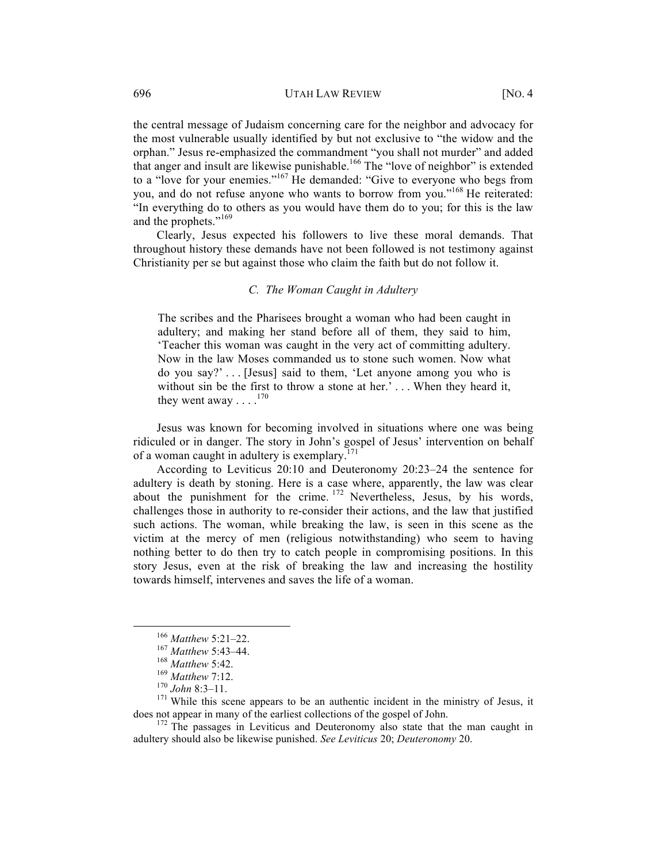the central message of Judaism concerning care for the neighbor and advocacy for the most vulnerable usually identified by but not exclusive to "the widow and the orphan." Jesus re-emphasized the commandment "you shall not murder" and added that anger and insult are likewise punishable.<sup>166</sup> The "love of neighbor" is extended to a "love for your enemies."<sup>167</sup> He demanded: "Give to everyone who begs from you, and do not refuse anyone who wants to borrow from you."168 He reiterated: "In everything do to others as you would have them do to you; for this is the law and the prophets."<sup>169</sup>

Clearly, Jesus expected his followers to live these moral demands. That throughout history these demands have not been followed is not testimony against Christianity per se but against those who claim the faith but do not follow it.

# *C. The Woman Caught in Adultery*

The scribes and the Pharisees brought a woman who had been caught in adultery; and making her stand before all of them, they said to him, 'Teacher this woman was caught in the very act of committing adultery. Now in the law Moses commanded us to stone such women. Now what do you say?' . . . [Jesus] said to them, 'Let anyone among you who is without sin be the first to throw a stone at her.'... When they heard it, they went away  $\ldots$ .<sup>170</sup>

Jesus was known for becoming involved in situations where one was being ridiculed or in danger. The story in John's gospel of Jesus' intervention on behalf of a woman caught in adultery is exemplary.<sup>171</sup>

According to Leviticus 20:10 and Deuteronomy 20:23–24 the sentence for adultery is death by stoning. Here is a case where, apparently, the law was clear about the punishment for the crime.  $172$  Nevertheless, Jesus, by his words, challenges those in authority to re-consider their actions, and the law that justified such actions. The woman, while breaking the law, is seen in this scene as the victim at the mercy of men (religious notwithstanding) who seem to having nothing better to do then try to catch people in compromising positions. In this story Jesus, even at the risk of breaking the law and increasing the hostility towards himself, intervenes and saves the life of a woman.

<sup>166</sup> *Matthew* 5:21–22.<br>
<sup>167</sup> *Matthew* 5:43–44.<br>
<sup>168</sup> *Matthew* 7:12.<br>
<sup>170</sup> *John* 8:3–11.<br>
<sup>171</sup> While this scene appears to be an authentic incident in the ministry of Jesus, it<br>
does not appear in many of the earli

 $172$  The passages in Leviticus and Deuteronomy also state that the man caught in adultery should also be likewise punished. *See Leviticus* 20; *Deuteronomy* 20.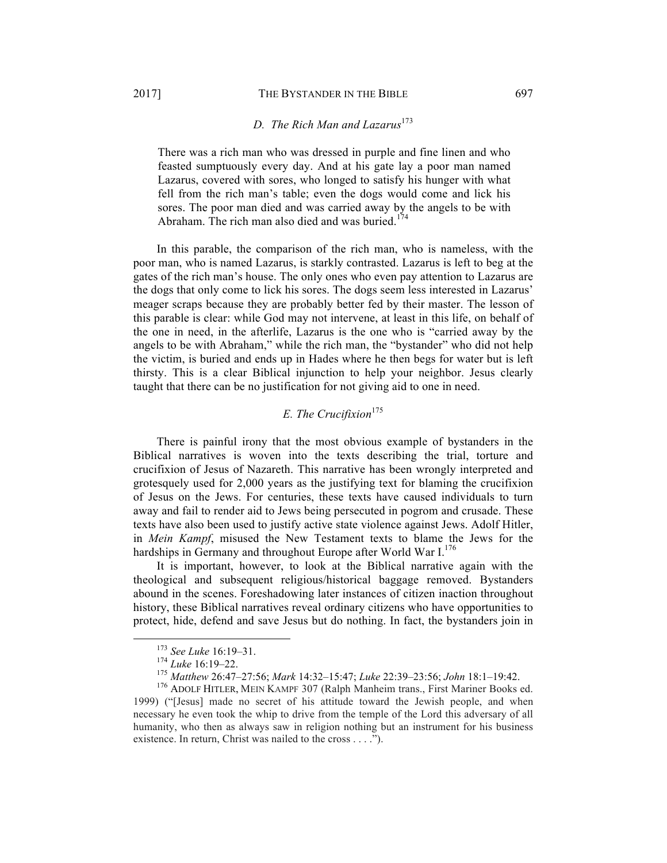# *D.* The Rich Man and Lazarus<sup>173</sup>

There was a rich man who was dressed in purple and fine linen and who feasted sumptuously every day. And at his gate lay a poor man named Lazarus, covered with sores, who longed to satisfy his hunger with what fell from the rich man's table; even the dogs would come and lick his sores. The poor man died and was carried away by the angels to be with Abraham. The rich man also died and was buried. $174$ 

In this parable, the comparison of the rich man, who is nameless, with the poor man, who is named Lazarus, is starkly contrasted. Lazarus is left to beg at the gates of the rich man's house. The only ones who even pay attention to Lazarus are the dogs that only come to lick his sores. The dogs seem less interested in Lazarus' meager scraps because they are probably better fed by their master. The lesson of this parable is clear: while God may not intervene, at least in this life, on behalf of the one in need, in the afterlife, Lazarus is the one who is "carried away by the angels to be with Abraham," while the rich man, the "bystander" who did not help the victim, is buried and ends up in Hades where he then begs for water but is left thirsty. This is a clear Biblical injunction to help your neighbor. Jesus clearly taught that there can be no justification for not giving aid to one in need.

# *E. The Crucifixion*<sup>175</sup>

There is painful irony that the most obvious example of bystanders in the Biblical narratives is woven into the texts describing the trial, torture and crucifixion of Jesus of Nazareth. This narrative has been wrongly interpreted and grotesquely used for 2,000 years as the justifying text for blaming the crucifixion of Jesus on the Jews. For centuries, these texts have caused individuals to turn away and fail to render aid to Jews being persecuted in pogrom and crusade. These texts have also been used to justify active state violence against Jews. Adolf Hitler, in *Mein Kampf*, misused the New Testament texts to blame the Jews for the hardships in Germany and throughout Europe after World War  $I^{176}$ .

It is important, however, to look at the Biblical narrative again with the theological and subsequent religious/historical baggage removed. Bystanders abound in the scenes. Foreshadowing later instances of citizen inaction throughout history, these Biblical narratives reveal ordinary citizens who have opportunities to protect, hide, defend and save Jesus but do nothing. In fact, the bystanders join in

<sup>&</sup>lt;sup>173</sup> See Luke 16:19–31.<br><sup>174</sup> Luke 16:19–22.<br><sup>175</sup> Matthew 26:47–27:56; Mark 14:32–15:47; Luke 22:39–23:56; John 18:1–19:42.<br><sup>176</sup> ADOLF HITLER, MEIN KAMPF 307 (Ralph Manheim trans., First Mariner Books ed. 1999) ("[Jesus] made no secret of his attitude toward the Jewish people, and when necessary he even took the whip to drive from the temple of the Lord this adversary of all humanity, who then as always saw in religion nothing but an instrument for his business existence. In return, Christ was nailed to the cross . . . .").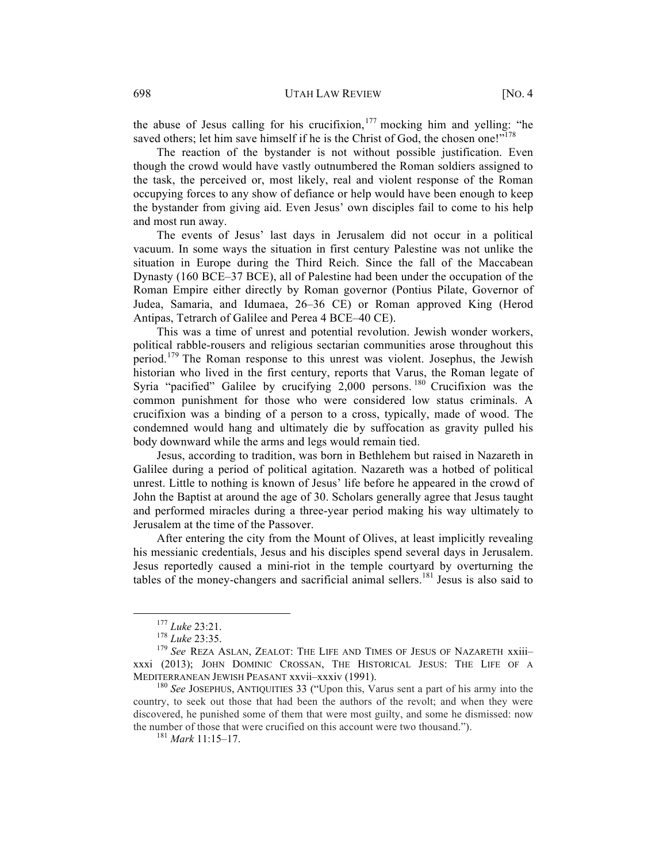the abuse of Jesus calling for his crucifixion,  $177$  mocking him and yelling: "he saved others; let him save himself if he is the Christ of God, the chosen one!"<sup>178</sup>

The reaction of the bystander is not without possible justification. Even though the crowd would have vastly outnumbered the Roman soldiers assigned to the task, the perceived or, most likely, real and violent response of the Roman occupying forces to any show of defiance or help would have been enough to keep the bystander from giving aid. Even Jesus' own disciples fail to come to his help and most run away.

The events of Jesus' last days in Jerusalem did not occur in a political vacuum. In some ways the situation in first century Palestine was not unlike the situation in Europe during the Third Reich. Since the fall of the Maccabean Dynasty (160 BCE–37 BCE), all of Palestine had been under the occupation of the Roman Empire either directly by Roman governor (Pontius Pilate, Governor of Judea, Samaria, and Idumaea, 26–36 CE) or Roman approved King (Herod Antipas, Tetrarch of Galilee and Perea 4 BCE–40 CE).

This was a time of unrest and potential revolution. Jewish wonder workers, political rabble-rousers and religious sectarian communities arose throughout this period.<sup>179</sup> The Roman response to this unrest was violent. Josephus, the Jewish historian who lived in the first century, reports that Varus, the Roman legate of Syria "pacified" Galilee by crucifying  $2,000$  persons.<sup>180</sup> Crucifixion was the common punishment for those who were considered low status criminals. A crucifixion was a binding of a person to a cross, typically, made of wood. The condemned would hang and ultimately die by suffocation as gravity pulled his body downward while the arms and legs would remain tied.

Jesus, according to tradition, was born in Bethlehem but raised in Nazareth in Galilee during a period of political agitation. Nazareth was a hotbed of political unrest. Little to nothing is known of Jesus' life before he appeared in the crowd of John the Baptist at around the age of 30. Scholars generally agree that Jesus taught and performed miracles during a three-year period making his way ultimately to Jerusalem at the time of the Passover.

After entering the city from the Mount of Olives, at least implicitly revealing his messianic credentials, Jesus and his disciples spend several days in Jerusalem. Jesus reportedly caused a mini-riot in the temple courtyard by overturning the tables of the money-changers and sacrificial animal sellers.<sup>181</sup> Jesus is also said to

<sup>177</sup> *Luke* 23:21.<br><sup>178</sup> *Luke* 23:35.<br><sup>179</sup> *See* REZA ASLAN, ZEALOT: THE LIFE AND TIMES OF JESUS OF NAZARETH xxiii– xxxi (2013); JOHN DOMINIC CROSSAN, THE HISTORICAL JESUS: THE LIFE OF A MEDITERRANEAN JEWISH PEASANT xxvii–xxxiv (1991). 180 *See* JOSEPHUS, ANTIQUITIES 33 ("Upon this, Varus sent a part of his army into the

country, to seek out those that had been the authors of the revolt; and when they were discovered, he punished some of them that were most guilty, and some he dismissed: now the number of those that were crucified on this account were two thousand."). <sup>181</sup> *Mark* 11:15–17.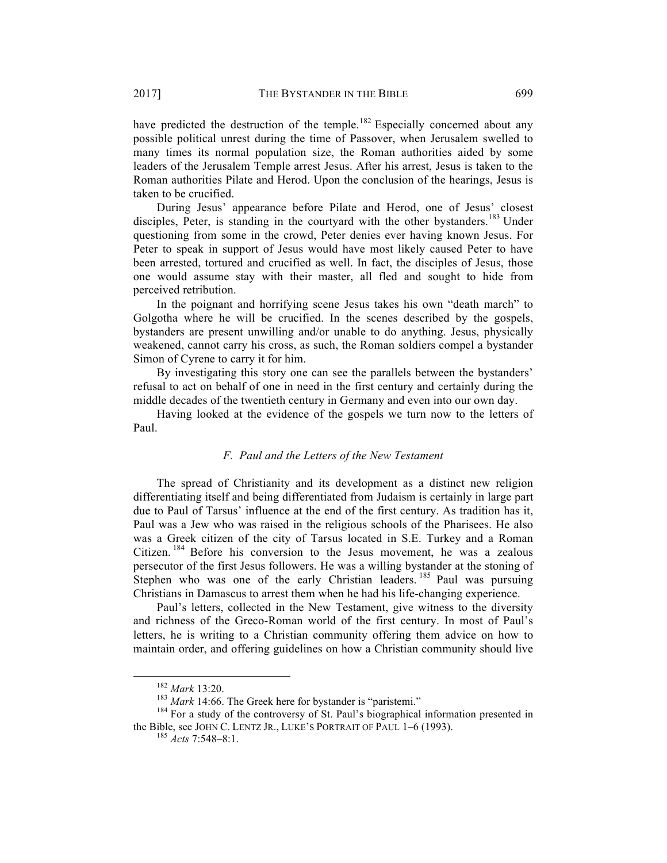have predicted the destruction of the temple.<sup>182</sup> Especially concerned about any possible political unrest during the time of Passover, when Jerusalem swelled to many times its normal population size, the Roman authorities aided by some leaders of the Jerusalem Temple arrest Jesus. After his arrest, Jesus is taken to the Roman authorities Pilate and Herod. Upon the conclusion of the hearings, Jesus is taken to be crucified.

During Jesus' appearance before Pilate and Herod, one of Jesus' closest disciples, Peter, is standing in the courtyard with the other bystanders.<sup>183</sup> Under questioning from some in the crowd, Peter denies ever having known Jesus. For Peter to speak in support of Jesus would have most likely caused Peter to have been arrested, tortured and crucified as well. In fact, the disciples of Jesus, those one would assume stay with their master, all fled and sought to hide from perceived retribution.

In the poignant and horrifying scene Jesus takes his own "death march" to Golgotha where he will be crucified. In the scenes described by the gospels, bystanders are present unwilling and/or unable to do anything. Jesus, physically weakened, cannot carry his cross, as such, the Roman soldiers compel a bystander Simon of Cyrene to carry it for him.

By investigating this story one can see the parallels between the bystanders' refusal to act on behalf of one in need in the first century and certainly during the middle decades of the twentieth century in Germany and even into our own day.

Having looked at the evidence of the gospels we turn now to the letters of Paul.

# *F. Paul and the Letters of the New Testament*

The spread of Christianity and its development as a distinct new religion differentiating itself and being differentiated from Judaism is certainly in large part due to Paul of Tarsus' influence at the end of the first century. As tradition has it, Paul was a Jew who was raised in the religious schools of the Pharisees. He also was a Greek citizen of the city of Tarsus located in S.E. Turkey and a Roman Citizen.<sup>184</sup> Before his conversion to the Jesus movement, he was a zealous persecutor of the first Jesus followers. He was a willing bystander at the stoning of Stephen who was one of the early Christian leaders. <sup>185</sup> Paul was pursuing Christians in Damascus to arrest them when he had his life-changing experience.

Paul's letters, collected in the New Testament, give witness to the diversity and richness of the Greco-Roman world of the first century. In most of Paul's letters, he is writing to a Christian community offering them advice on how to maintain order, and offering guidelines on how a Christian community should live

<sup>&</sup>lt;sup>182</sup> *Mark* 13:20.<br><sup>183</sup> *Mark* 14:66. The Greek here for bystander is "paristemi." <sup>184</sup> For a study of the controversy of St. Paul's biographical information presented in the Bible, see JOHN C. LENTZ JR., LUKE'S PORTRAIT OF PAUL 1–6 (1993). <sup>185</sup> *Acts* 7:548–8:1.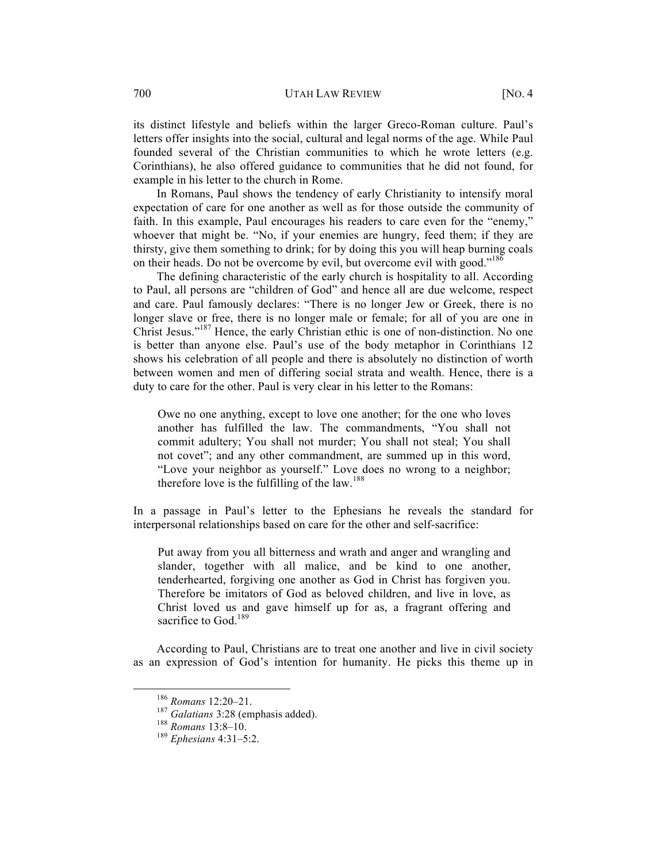700 UTAH LAW REVIEW [NO. 4

its distinct lifestyle and beliefs within the larger Greco-Roman culture. Paul's letters offer insights into the social, cultural and legal norms of the age. While Paul founded several of the Christian communities to which he wrote letters (e.g. Corinthians), he also offered guidance to communities that he did not found, for example in his letter to the church in Rome.

In Romans, Paul shows the tendency of early Christianity to intensify moral expectation of care for one another as well as for those outside the community of faith. In this example, Paul encourages his readers to care even for the "enemy," whoever that might be. "No, if your enemies are hungry, feed them; if they are thirsty, give them something to drink; for by doing this you will heap burning coals on their heads. Do not be overcome by evil, but overcome evil with good."<sup>186</sup>

The defining characteristic of the early church is hospitality to all. According to Paul, all persons are "children of God" and hence all are due welcome, respect and care. Paul famously declares: "There is no longer Jew or Greek, there is no longer slave or free, there is no longer male or female; for all of you are one in Christ Jesus."187 Hence, the early Christian ethic is one of non-distinction. No one is better than anyone else. Paul's use of the body metaphor in Corinthians 12 shows his celebration of all people and there is absolutely no distinction of worth between women and men of differing social strata and wealth. Hence, there is a duty to care for the other. Paul is very clear in his letter to the Romans:

Owe no one anything, except to love one another; for the one who loves another has fulfilled the law. The commandments, "You shall not commit adultery; You shall not murder; You shall not steal; You shall not covet"; and any other commandment, are summed up in this word, "Love your neighbor as yourself." Love does no wrong to a neighbor; therefore love is the fulfilling of the law.<sup>188</sup>

In a passage in Paul's letter to the Ephesians he reveals the standard for interpersonal relationships based on care for the other and self-sacrifice:

Put away from you all bitterness and wrath and anger and wrangling and slander, together with all malice, and be kind to one another, tenderhearted, forgiving one another as God in Christ has forgiven you. Therefore be imitators of God as beloved children, and live in love, as Christ loved us and gave himself up for as, a fragrant offering and sacrifice to God.<sup>189</sup>

According to Paul, Christians are to treat one another and live in civil society as an expression of God's intention for humanity. He picks this theme up in

 <sup>186</sup> *Romans* 12:20–21. <sup>187</sup> *Galatians* 3:28 (emphasis added). <sup>188</sup> *Romans* 13:8–10. <sup>189</sup> *Ephesians* 4:31–5:2.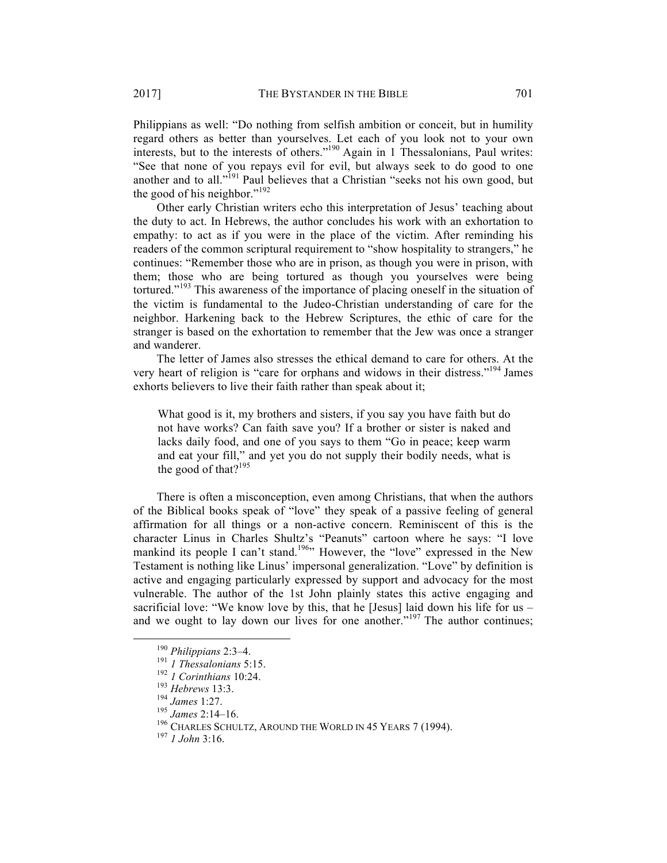Philippians as well: "Do nothing from selfish ambition or conceit, but in humility regard others as better than yourselves. Let each of you look not to your own interests, but to the interests of others."<sup>190</sup> Again in 1 Thessalonians, Paul writes: "See that none of you repays evil for evil, but always seek to do good to one another and to all."<sup>191</sup> Paul believes that a Christian "seeks not his own good, but the good of his neighbor." $192$ 

Other early Christian writers echo this interpretation of Jesus' teaching about the duty to act. In Hebrews, the author concludes his work with an exhortation to empathy: to act as if you were in the place of the victim. After reminding his readers of the common scriptural requirement to "show hospitality to strangers," he continues: "Remember those who are in prison, as though you were in prison, with them; those who are being tortured as though you yourselves were being tortured." <sup>193</sup> This awareness of the importance of placing oneself in the situation of the victim is fundamental to the Judeo-Christian understanding of care for the neighbor. Harkening back to the Hebrew Scriptures, the ethic of care for the stranger is based on the exhortation to remember that the Jew was once a stranger and wanderer.

The letter of James also stresses the ethical demand to care for others. At the very heart of religion is "care for orphans and widows in their distress."<sup>194</sup> James exhorts believers to live their faith rather than speak about it;

What good is it, my brothers and sisters, if you say you have faith but do not have works? Can faith save you? If a brother or sister is naked and lacks daily food, and one of you says to them "Go in peace; keep warm and eat your fill," and yet you do not supply their bodily needs, what is the good of that? $195$ 

There is often a misconception, even among Christians, that when the authors of the Biblical books speak of "love" they speak of a passive feeling of general affirmation for all things or a non-active concern. Reminiscent of this is the character Linus in Charles Shultz's "Peanuts" cartoon where he says: "I love mankind its people I can't stand.<sup>196</sup><sup>196</sup> However, the "love" expressed in the New Testament is nothing like Linus' impersonal generalization. "Love" by definition is active and engaging particularly expressed by support and advocacy for the most vulnerable. The author of the 1st John plainly states this active engaging and sacrificial love: "We know love by this, that he [Jesus] laid down his life for us – and we ought to lay down our lives for one another."<sup>197</sup> The author continues;

<sup>&</sup>lt;sup>190</sup> Philippians 2:3–4.<br>
<sup>191</sup> *I Thessalonians* 5:15.<br>
<sup>192</sup> *I Corinthians* 10:24.<br>
<sup>193</sup> *James* 1:27.<br>
<sup>194</sup> *James* 2:14–16.<br>
<sup>196</sup> CHARLES SCHULTZ, AROUND THE WORLD IN 45 YEARS 7 (1994).<br>
<sup>197</sup> *I John* 3:16.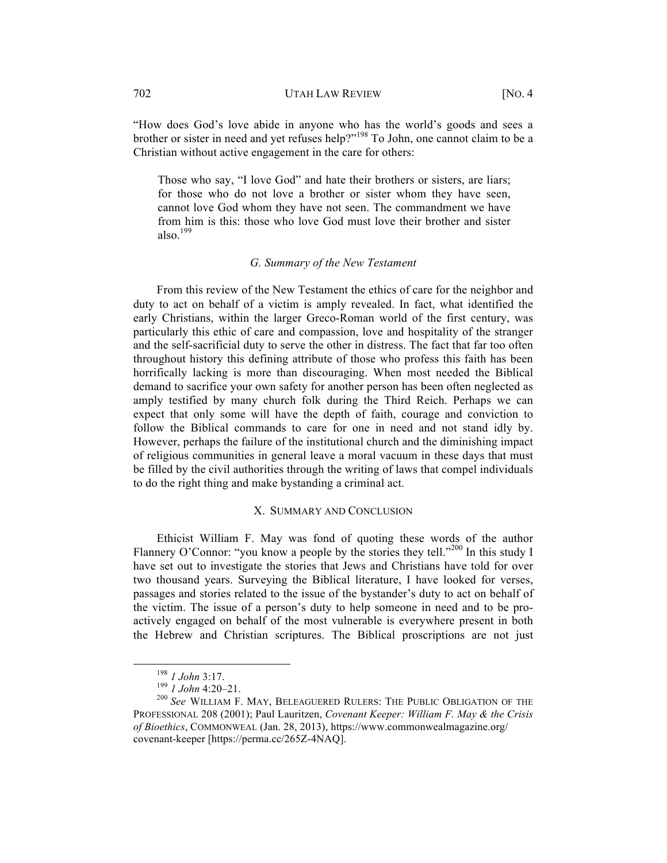"How does God's love abide in anyone who has the world's goods and sees a brother or sister in need and yet refuses help?"<sup>198</sup> To John, one cannot claim to be a Christian without active engagement in the care for others:

Those who say, "I love God" and hate their brothers or sisters, are liars; for those who do not love a brother or sister whom they have seen, cannot love God whom they have not seen. The commandment we have from him is this: those who love God must love their brother and sister also. $199$ 

# *G. Summary of the New Testament*

From this review of the New Testament the ethics of care for the neighbor and duty to act on behalf of a victim is amply revealed. In fact, what identified the early Christians, within the larger Greco-Roman world of the first century, was particularly this ethic of care and compassion, love and hospitality of the stranger and the self-sacrificial duty to serve the other in distress. The fact that far too often throughout history this defining attribute of those who profess this faith has been horrifically lacking is more than discouraging. When most needed the Biblical demand to sacrifice your own safety for another person has been often neglected as amply testified by many church folk during the Third Reich. Perhaps we can expect that only some will have the depth of faith, courage and conviction to follow the Biblical commands to care for one in need and not stand idly by. However, perhaps the failure of the institutional church and the diminishing impact of religious communities in general leave a moral vacuum in these days that must be filled by the civil authorities through the writing of laws that compel individuals to do the right thing and make bystanding a criminal act.

# X. SUMMARY AND CONCLUSION

Ethicist William F. May was fond of quoting these words of the author Flannery O'Connor: "you know a people by the stories they tell."<sup>200</sup> In this study I have set out to investigate the stories that Jews and Christians have told for over two thousand years. Surveying the Biblical literature, I have looked for verses, passages and stories related to the issue of the bystander's duty to act on behalf of the victim. The issue of a person's duty to help someone in need and to be proactively engaged on behalf of the most vulnerable is everywhere present in both the Hebrew and Christian scriptures. The Biblical proscriptions are not just

<sup>198</sup> *1 John* 3:17.<br><sup>199</sup> *1 John* 4:20–21.<br><sup>200</sup> *See* WILLIAM F. MAY, BELEAGUERED RULERS: THE PUBLIC OBLIGATION OF THE PROFESSIONAL 208 (2001); Paul Lauritzen, *Covenant Keeper: William F. May & the Crisis of Bioethics*, COMMONWEAL (Jan. 28, 2013), https://www.commonwealmagazine.org/ covenant-keeper [https://perma.cc/265Z-4NAQ].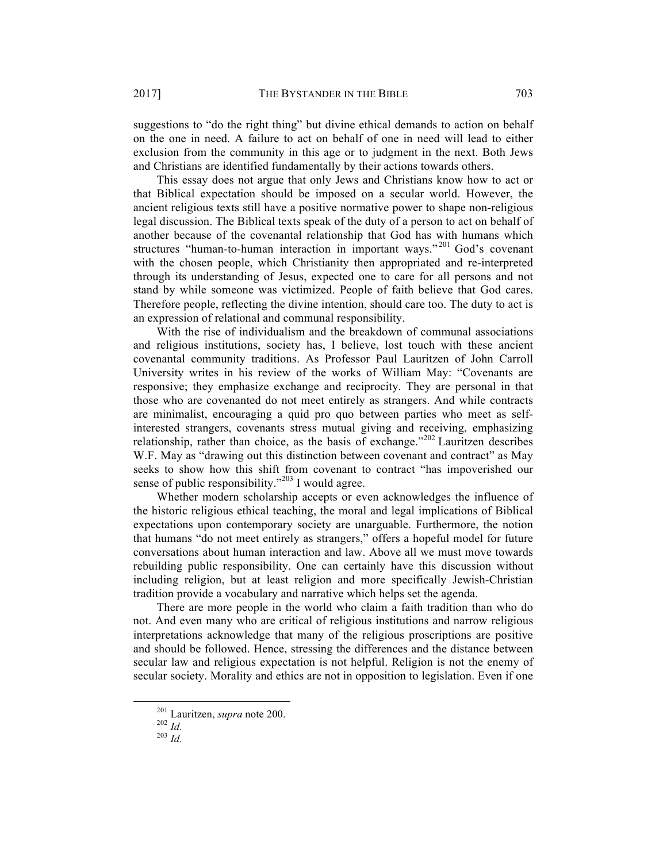suggestions to "do the right thing" but divine ethical demands to action on behalf on the one in need. A failure to act on behalf of one in need will lead to either exclusion from the community in this age or to judgment in the next. Both Jews and Christians are identified fundamentally by their actions towards others.

This essay does not argue that only Jews and Christians know how to act or that Biblical expectation should be imposed on a secular world. However, the ancient religious texts still have a positive normative power to shape non-religious legal discussion. The Biblical texts speak of the duty of a person to act on behalf of another because of the covenantal relationship that God has with humans which structures "human-to-human interaction in important ways."<sup>201</sup> God's covenant with the chosen people, which Christianity then appropriated and re-interpreted through its understanding of Jesus, expected one to care for all persons and not stand by while someone was victimized. People of faith believe that God cares. Therefore people, reflecting the divine intention, should care too. The duty to act is an expression of relational and communal responsibility.

With the rise of individualism and the breakdown of communal associations and religious institutions, society has, I believe, lost touch with these ancient covenantal community traditions. As Professor Paul Lauritzen of John Carroll University writes in his review of the works of William May: "Covenants are responsive; they emphasize exchange and reciprocity. They are personal in that those who are covenanted do not meet entirely as strangers. And while contracts are minimalist, encouraging a quid pro quo between parties who meet as selfinterested strangers, covenants stress mutual giving and receiving, emphasizing relationship, rather than choice, as the basis of exchange."<sup>202</sup> Lauritzen describes W.F. May as "drawing out this distinction between covenant and contract" as May seeks to show how this shift from covenant to contract "has impoverished our sense of public responsibility."<sup>203</sup> I would agree.

Whether modern scholarship accepts or even acknowledges the influence of the historic religious ethical teaching, the moral and legal implications of Biblical expectations upon contemporary society are unarguable. Furthermore, the notion that humans "do not meet entirely as strangers," offers a hopeful model for future conversations about human interaction and law. Above all we must move towards rebuilding public responsibility. One can certainly have this discussion without including religion, but at least religion and more specifically Jewish-Christian tradition provide a vocabulary and narrative which helps set the agenda.

There are more people in the world who claim a faith tradition than who do not. And even many who are critical of religious institutions and narrow religious interpretations acknowledge that many of the religious proscriptions are positive and should be followed. Hence, stressing the differences and the distance between secular law and religious expectation is not helpful. Religion is not the enemy of secular society. Morality and ethics are not in opposition to legislation. Even if one

 <sup>201</sup> Lauritzen, *supra* note 200. 202 *Id.* <sup>203</sup> *Id.*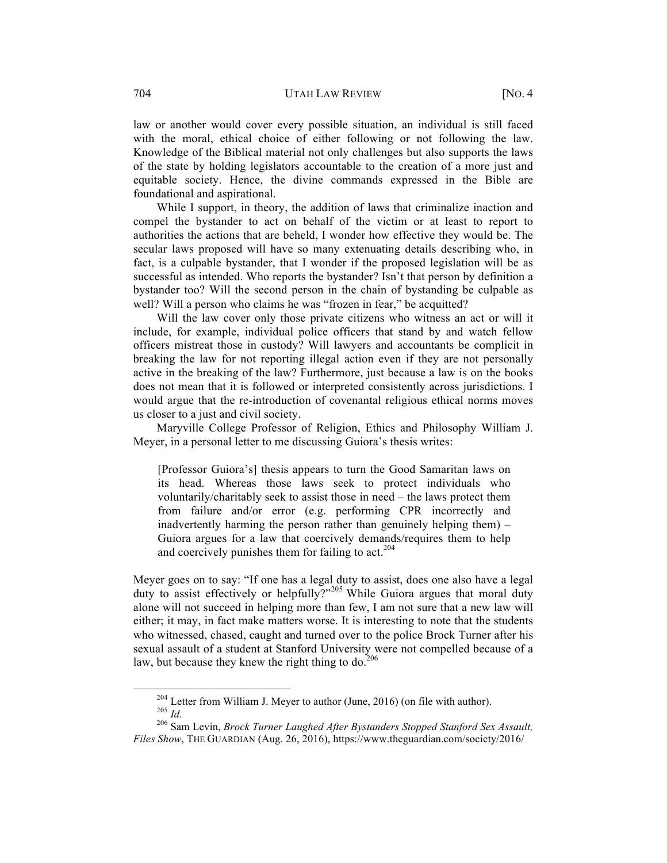law or another would cover every possible situation, an individual is still faced with the moral, ethical choice of either following or not following the law. Knowledge of the Biblical material not only challenges but also supports the laws of the state by holding legislators accountable to the creation of a more just and equitable society. Hence, the divine commands expressed in the Bible are foundational and aspirational.

While I support, in theory, the addition of laws that criminalize inaction and compel the bystander to act on behalf of the victim or at least to report to authorities the actions that are beheld, I wonder how effective they would be. The secular laws proposed will have so many extenuating details describing who, in fact, is a culpable bystander, that I wonder if the proposed legislation will be as successful as intended. Who reports the bystander? Isn't that person by definition a bystander too? Will the second person in the chain of bystanding be culpable as well? Will a person who claims he was "frozen in fear," be acquitted?

Will the law cover only those private citizens who witness an act or will it include, for example, individual police officers that stand by and watch fellow officers mistreat those in custody? Will lawyers and accountants be complicit in breaking the law for not reporting illegal action even if they are not personally active in the breaking of the law? Furthermore, just because a law is on the books does not mean that it is followed or interpreted consistently across jurisdictions. I would argue that the re-introduction of covenantal religious ethical norms moves us closer to a just and civil society.

Maryville College Professor of Religion, Ethics and Philosophy William J. Meyer, in a personal letter to me discussing Guiora's thesis writes:

[Professor Guiora's] thesis appears to turn the Good Samaritan laws on its head. Whereas those laws seek to protect individuals who voluntarily/charitably seek to assist those in need – the laws protect them from failure and/or error (e.g. performing CPR incorrectly and inadvertently harming the person rather than genuinely helping them) – Guiora argues for a law that coercively demands/requires them to help and coercively punishes them for failing to  $act.^{204}$ 

Meyer goes on to say: "If one has a legal duty to assist, does one also have a legal duty to assist effectively or helpfully?"<sup>205</sup> While Guiora argues that moral duty alone will not succeed in helping more than few, I am not sure that a new law will either; it may, in fact make matters worse. It is interesting to note that the students who witnessed, chased, caught and turned over to the police Brock Turner after his sexual assault of a student at Stanford University were not compelled because of a law, but because they knew the right thing to do. $206$ 

<sup>204</sup> Letter from William J. Meyer to author (June, 2016) (on file with author).<br><sup>205</sup> *Id.* 206 Sam Levin, *Brock Turner Laughed After Bystanders Stopped Stanford Sex Assault,* 

*Files Show*, THE GUARDIAN (Aug. 26, 2016), https://www.theguardian.com/society/2016/